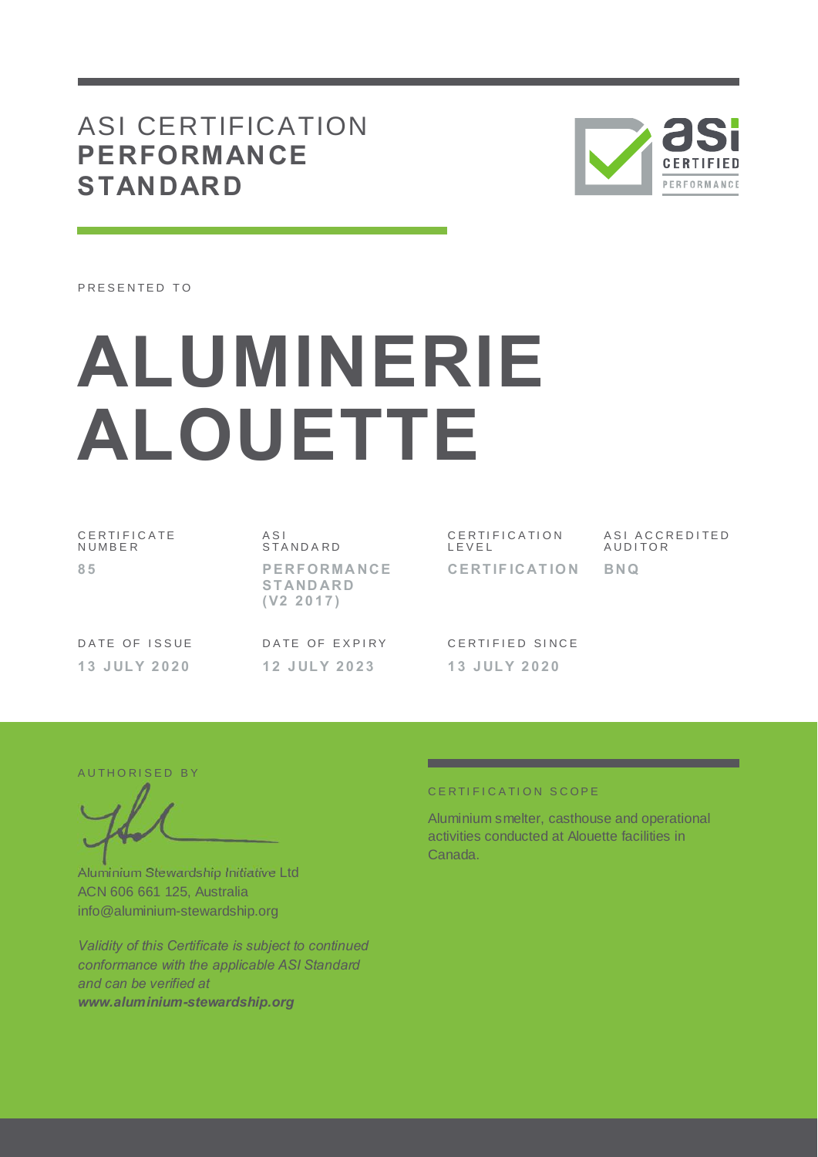## ASI CERTIFICATION **PERFORMANCE STANDARD**



PRESENTED TO

# **ALUMINERIE ALOUETTE**

C E R T I F I C A T E **NUMBER 8 5**

A S I S T A N D A R D **P E RF ORMA NCE S T AND ARD ( V2 2 0 1 7 )**

C E R T I F I C A T I O N L E V E L **CE RT IF ICAT IO N** ASI ACCREDITED **AUDITOR BNQ**

DATE OF ISSUE **1 3 J UL Y 2 0 2 0**

DATE OF EXPIRY **1 2 J UL Y 2 0 2 3**

CERTIFIED SINCE **1 3 J UL Y 2 0 2 0**

AUTHORISED BY

Aluminium Stewardship Initiative Ltd ACN 606 661 125, Australia info@aluminium-stewardship.org

*Validity of this Certificate is subject to continued conformance with the applicable ASI Standard and can be verified at www.aluminium-stewardship.org*

#### CERTIFICATION SCOPE

Aluminium smelter, casthouse and operational activities conducted at Alouette facilities in Canada.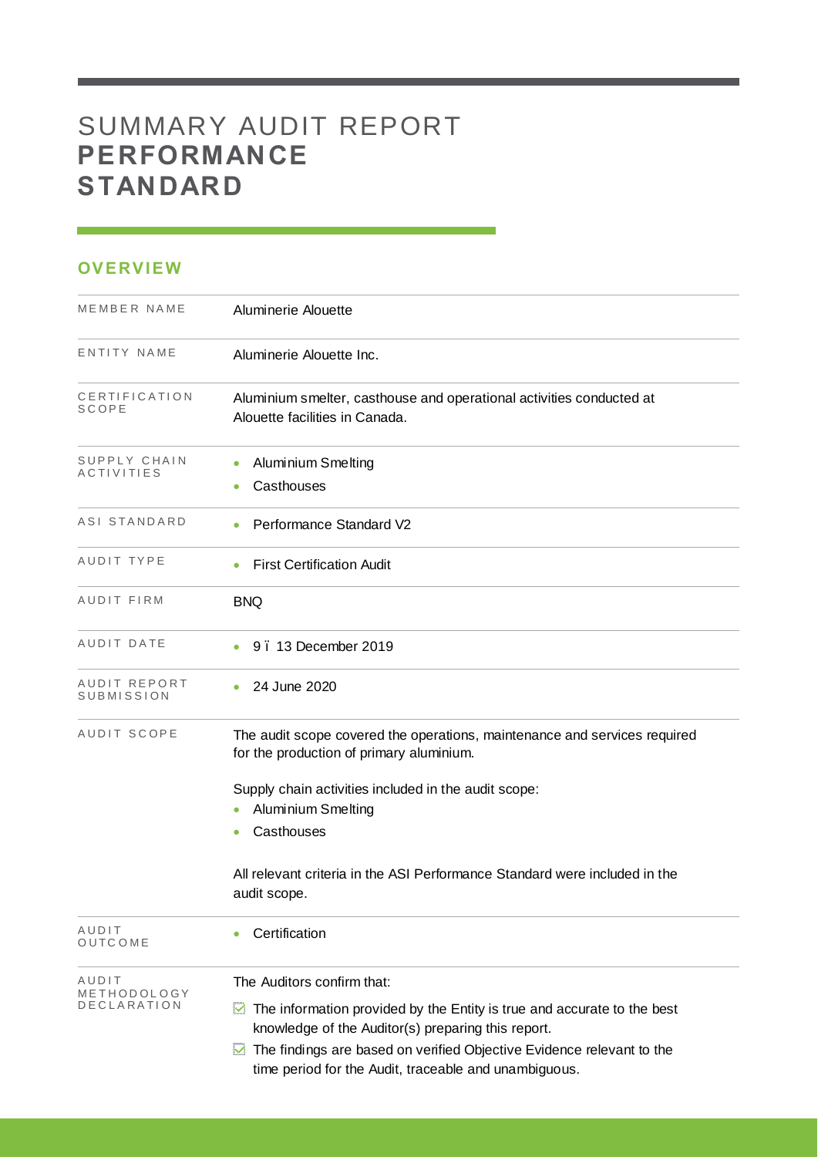# SUMMARY AUDIT REPORT **PERFORMANCE STANDARD**

### **OVERVIEW**

| MEMBER NAME                       | Aluminerie Alouette                                                                                                                 |
|-----------------------------------|-------------------------------------------------------------------------------------------------------------------------------------|
| ENTITY NAME                       | Aluminerie Alouette Inc.                                                                                                            |
| CERTIFICATION<br>SCOPE            | Aluminium smelter, casthouse and operational activities conducted at<br>Alouette facilities in Canada.                              |
| SUPPLY CHAIN<br><b>ACTIVITIES</b> | Aluminium Smelting<br>Casthouses                                                                                                    |
| ASI STANDARD                      | Performance Standard V2                                                                                                             |
| AUDIT TYPE                        | <b>First Certification Audit</b>                                                                                                    |
| AUDIT FIRM                        | <b>BNQ</b>                                                                                                                          |
| AUDIT DATE                        | 9.13 December 2019                                                                                                                  |
| AUDIT REPORT<br>SUBMISSION        | 24 June 2020                                                                                                                        |
| AUDIT SCOPE                       | The audit scope covered the operations, maintenance and services required<br>for the production of primary aluminium.               |
|                                   | Supply chain activities included in the audit scope:<br>Aluminium Smelting<br>Casthouses                                            |
|                                   | All relevant criteria in the ASI Performance Standard were included in the<br>audit scope.                                          |
| AUDIT<br>OUTCOME                  | Certification                                                                                                                       |
| AUDIT<br>METHODOLOGY              | The Auditors confirm that:                                                                                                          |
| DECLARATION                       | The information provided by the Entity is true and accurate to the best<br>⊻<br>knowledge of the Auditor(s) preparing this report.  |
|                                   | The findings are based on verified Objective Evidence relevant to the<br>⊻<br>time period for the Audit, traceable and unambiguous. |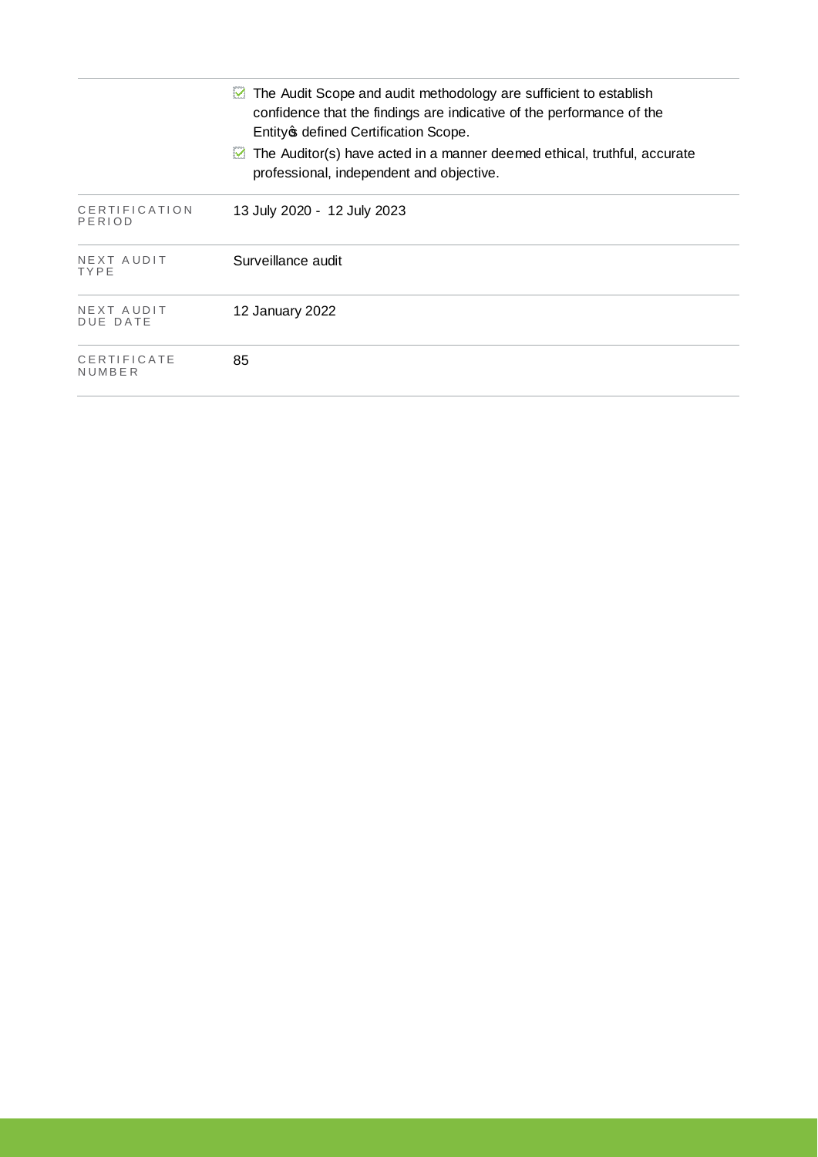|                         | The Audit Scope and audit methodology are sufficient to establish<br>M<br>confidence that the findings are indicative of the performance of the<br>Entity of defined Certification Scope. |
|-------------------------|-------------------------------------------------------------------------------------------------------------------------------------------------------------------------------------------|
|                         | The Auditor(s) have acted in a manner deemed ethical, truthful, accurate<br>M<br>professional, independent and objective.                                                                 |
| CERTIFICATION<br>PERIOD | 13 July 2020 - 12 July 2023                                                                                                                                                               |
| NEXT AUDIT<br>TYPE      | Surveillance audit                                                                                                                                                                        |
| NEXT AUDIT<br>DUE DATE  | 12 January 2022                                                                                                                                                                           |
| CERTIFICATE<br>NUMBER   | 85                                                                                                                                                                                        |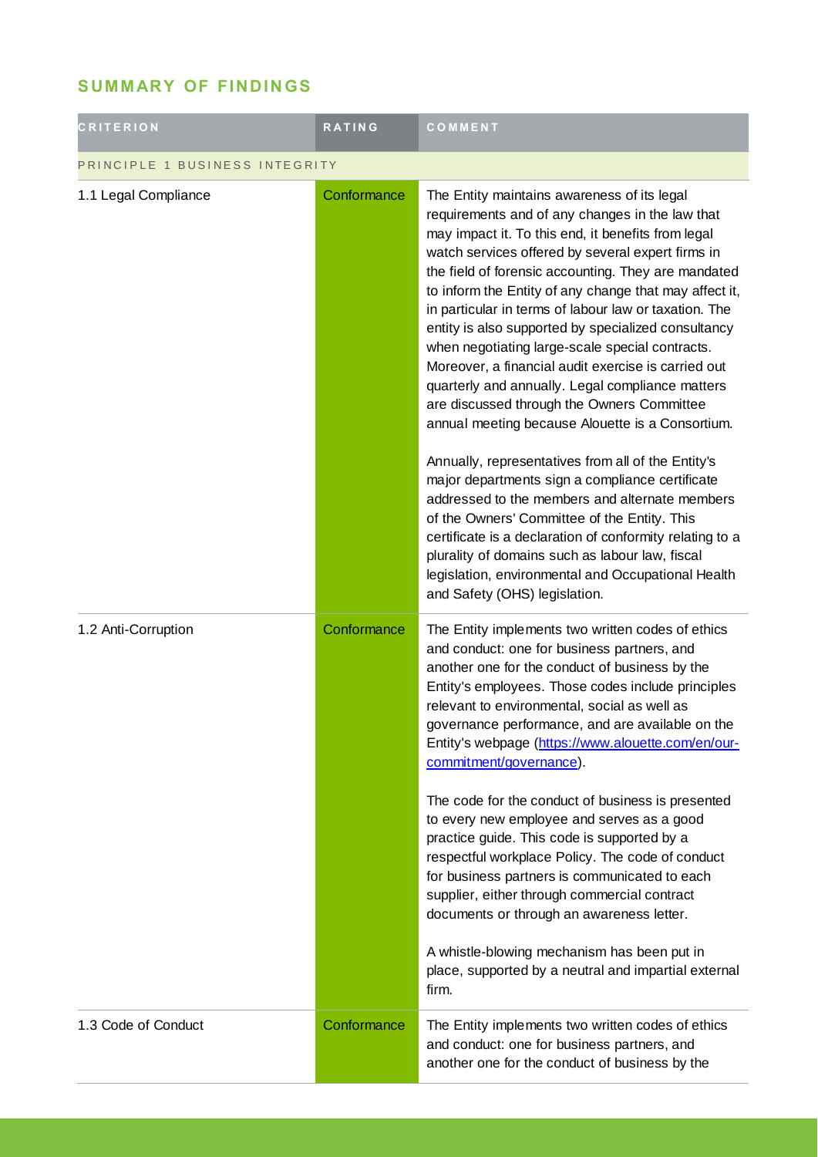## **SUMMARY OF FINDINGS**

| <b>CRITERION</b>               | <b>RATING</b> | COMMENT                                                                                                                                                                                                                                                                                                                                                                                                                                                                                                                                                                                                                                                                                                    |  |
|--------------------------------|---------------|------------------------------------------------------------------------------------------------------------------------------------------------------------------------------------------------------------------------------------------------------------------------------------------------------------------------------------------------------------------------------------------------------------------------------------------------------------------------------------------------------------------------------------------------------------------------------------------------------------------------------------------------------------------------------------------------------------|--|
| PRINCIPLE 1 BUSINESS INTEGRITY |               |                                                                                                                                                                                                                                                                                                                                                                                                                                                                                                                                                                                                                                                                                                            |  |
| 1.1 Legal Compliance           | Conformance   | The Entity maintains awareness of its legal<br>requirements and of any changes in the law that<br>may impact it. To this end, it benefits from legal<br>watch services offered by several expert firms in<br>the field of forensic accounting. They are mandated<br>to inform the Entity of any change that may affect it,<br>in particular in terms of labour law or taxation. The<br>entity is also supported by specialized consultancy<br>when negotiating large-scale special contracts.<br>Moreover, a financial audit exercise is carried out<br>quarterly and annually. Legal compliance matters<br>are discussed through the Owners Committee<br>annual meeting because Alouette is a Consortium. |  |
|                                |               | Annually, representatives from all of the Entity's<br>major departments sign a compliance certificate<br>addressed to the members and alternate members<br>of the Owners' Committee of the Entity. This<br>certificate is a declaration of conformity relating to a<br>plurality of domains such as labour law, fiscal<br>legislation, environmental and Occupational Health<br>and Safety (OHS) legislation.                                                                                                                                                                                                                                                                                              |  |
| 1.2 Anti-Corruption            | Conformance   | The Entity implements two written codes of ethics<br>and conduct: one for business partners, and<br>another one for the conduct of business by the<br>Entity's employees. Those codes include principles<br>relevant to environmental, social as well as<br>governance performance, and are available on the<br>Entity's webpage (https://www.alouette.com/en/our-<br>commitment/governance).<br>The code for the conduct of business is presented<br>to every new employee and serves as a good                                                                                                                                                                                                           |  |
|                                |               | practice guide. This code is supported by a<br>respectful workplace Policy. The code of conduct<br>for business partners is communicated to each<br>supplier, either through commercial contract<br>documents or through an awareness letter.<br>A whistle-blowing mechanism has been put in<br>place, supported by a neutral and impartial external<br>firm.                                                                                                                                                                                                                                                                                                                                              |  |
| 1.3 Code of Conduct            | Conformance   | The Entity implements two written codes of ethics<br>and conduct: one for business partners, and<br>another one for the conduct of business by the                                                                                                                                                                                                                                                                                                                                                                                                                                                                                                                                                         |  |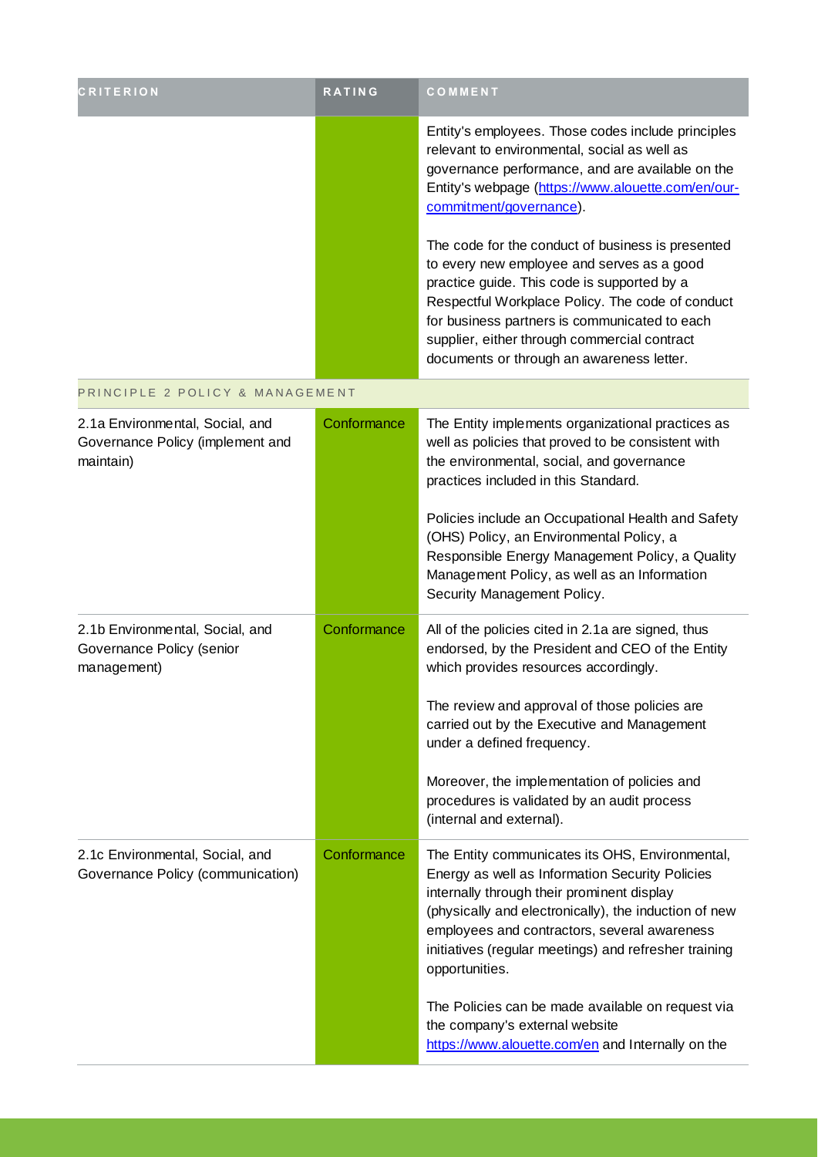| <b>CRITERION</b>                                                                 | <b>RATING</b> | COMMENT                                                                                                                                                                                                                                                                                                                              |
|----------------------------------------------------------------------------------|---------------|--------------------------------------------------------------------------------------------------------------------------------------------------------------------------------------------------------------------------------------------------------------------------------------------------------------------------------------|
|                                                                                  |               | Entity's employees. Those codes include principles<br>relevant to environmental, social as well as<br>governance performance, and are available on the<br>Entity's webpage (https://www.alouette.com/en/our-<br>commitment/governance).<br>The code for the conduct of business is presented                                         |
|                                                                                  |               | to every new employee and serves as a good<br>practice guide. This code is supported by a<br>Respectful Workplace Policy. The code of conduct<br>for business partners is communicated to each<br>supplier, either through commercial contract<br>documents or through an awareness letter.                                          |
| PRINCIPLE 2 POLICY & MANAGEMENT                                                  |               |                                                                                                                                                                                                                                                                                                                                      |
| 2.1a Environmental, Social, and<br>Governance Policy (implement and<br>maintain) | Conformance   | The Entity implements organizational practices as<br>well as policies that proved to be consistent with<br>the environmental, social, and governance<br>practices included in this Standard.                                                                                                                                         |
|                                                                                  |               | Policies include an Occupational Health and Safety<br>(OHS) Policy, an Environmental Policy, a<br>Responsible Energy Management Policy, a Quality<br>Management Policy, as well as an Information<br>Security Management Policy.                                                                                                     |
| 2.1b Environmental, Social, and<br>Governance Policy (senior<br>management)      | Conformance   | All of the policies cited in 2.1a are signed, thus<br>endorsed, by the President and CEO of the Entity<br>which provides resources accordingly.                                                                                                                                                                                      |
|                                                                                  |               | The review and approval of those policies are<br>carried out by the Executive and Management<br>under a defined frequency.                                                                                                                                                                                                           |
|                                                                                  |               | Moreover, the implementation of policies and<br>procedures is validated by an audit process<br>(internal and external).                                                                                                                                                                                                              |
| 2.1c Environmental, Social, and<br>Governance Policy (communication)             | Conformance   | The Entity communicates its OHS, Environmental,<br>Energy as well as Information Security Policies<br>internally through their prominent display<br>(physically and electronically), the induction of new<br>employees and contractors, several awareness<br>initiatives (regular meetings) and refresher training<br>opportunities. |
|                                                                                  |               | The Policies can be made available on request via<br>the company's external website<br>https://www.alouette.com/en and Internally on the                                                                                                                                                                                             |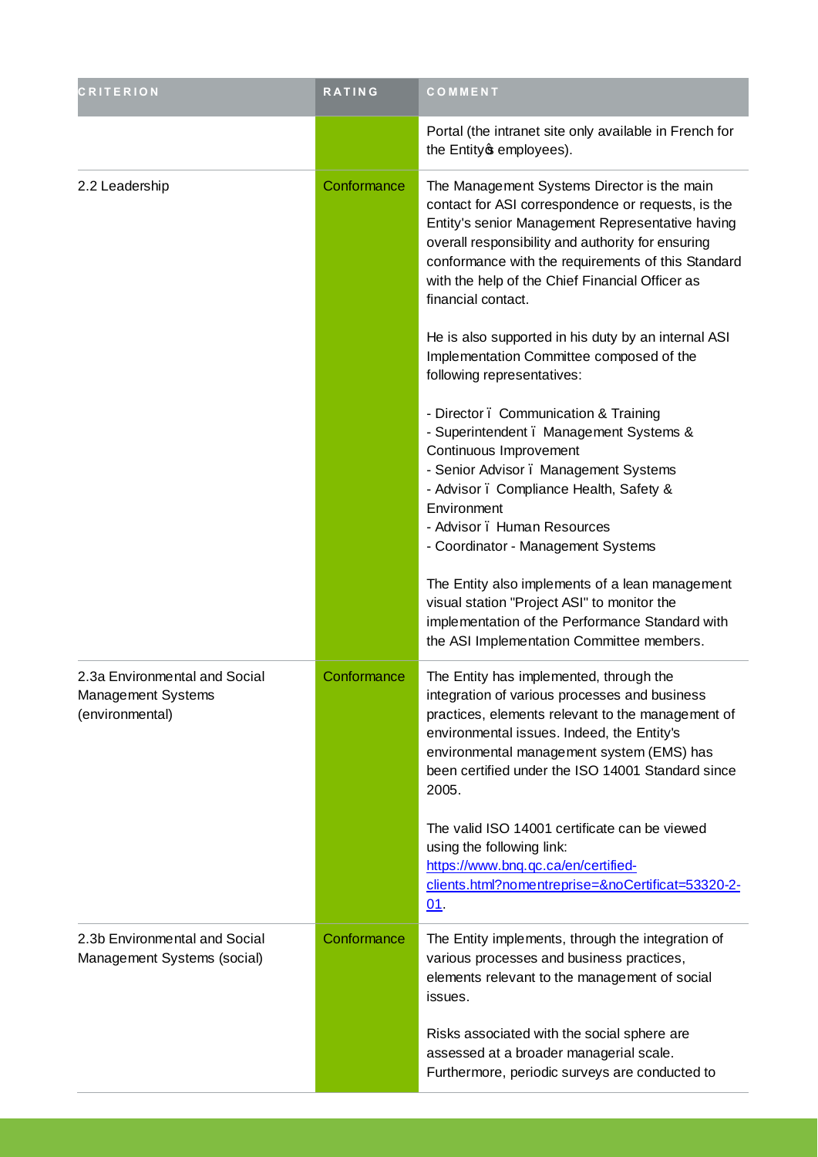| <b>CRITERION</b>                                                       | <b>RATING</b> | COMMENT                                                                                                                                                                                                                                                                                                                                   |
|------------------------------------------------------------------------|---------------|-------------------------------------------------------------------------------------------------------------------------------------------------------------------------------------------------------------------------------------------------------------------------------------------------------------------------------------------|
|                                                                        |               | Portal (the intranet site only available in French for<br>the Entity of employees).                                                                                                                                                                                                                                                       |
| 2.2 Leadership                                                         | Conformance   | The Management Systems Director is the main<br>contact for ASI correspondence or requests, is the<br>Entity's senior Management Representative having<br>overall responsibility and authority for ensuring<br>conformance with the requirements of this Standard<br>with the help of the Chief Financial Officer as<br>financial contact. |
|                                                                        |               | He is also supported in his duty by an internal ASI<br>Implementation Committee composed of the<br>following representatives:                                                                                                                                                                                                             |
|                                                                        |               | - Director . Communication & Training<br>- Superintendent . Management Systems &<br>Continuous Improvement<br>- Senior Advisor . Management Systems<br>- Advisor. Compliance Health, Safety &<br>Environment<br>- Advisor . Human Resources<br>- Coordinator - Management Systems                                                         |
|                                                                        |               | The Entity also implements of a lean management<br>visual station "Project ASI" to monitor the<br>implementation of the Performance Standard with<br>the ASI Implementation Committee members.                                                                                                                                            |
| 2.3a Environmental and Social<br>Management Systems<br>(environmental) | Conformance   | The Entity has implemented, through the<br>integration of various processes and business<br>practices, elements relevant to the management of<br>environmental issues. Indeed, the Entity's<br>environmental management system (EMS) has<br>been certified under the ISO 14001 Standard since<br>2005.                                    |
|                                                                        |               | The valid ISO 14001 certificate can be viewed<br>using the following link:<br>https://www.bnq.qc.ca/en/certified-<br>clients.html?nomentreprise=&noCertificat=53320-2-<br>$01$ .                                                                                                                                                          |
| 2.3b Environmental and Social<br>Management Systems (social)           | Conformance   | The Entity implements, through the integration of<br>various processes and business practices,<br>elements relevant to the management of social<br>issues.                                                                                                                                                                                |
|                                                                        |               | Risks associated with the social sphere are<br>assessed at a broader managerial scale.<br>Furthermore, periodic surveys are conducted to                                                                                                                                                                                                  |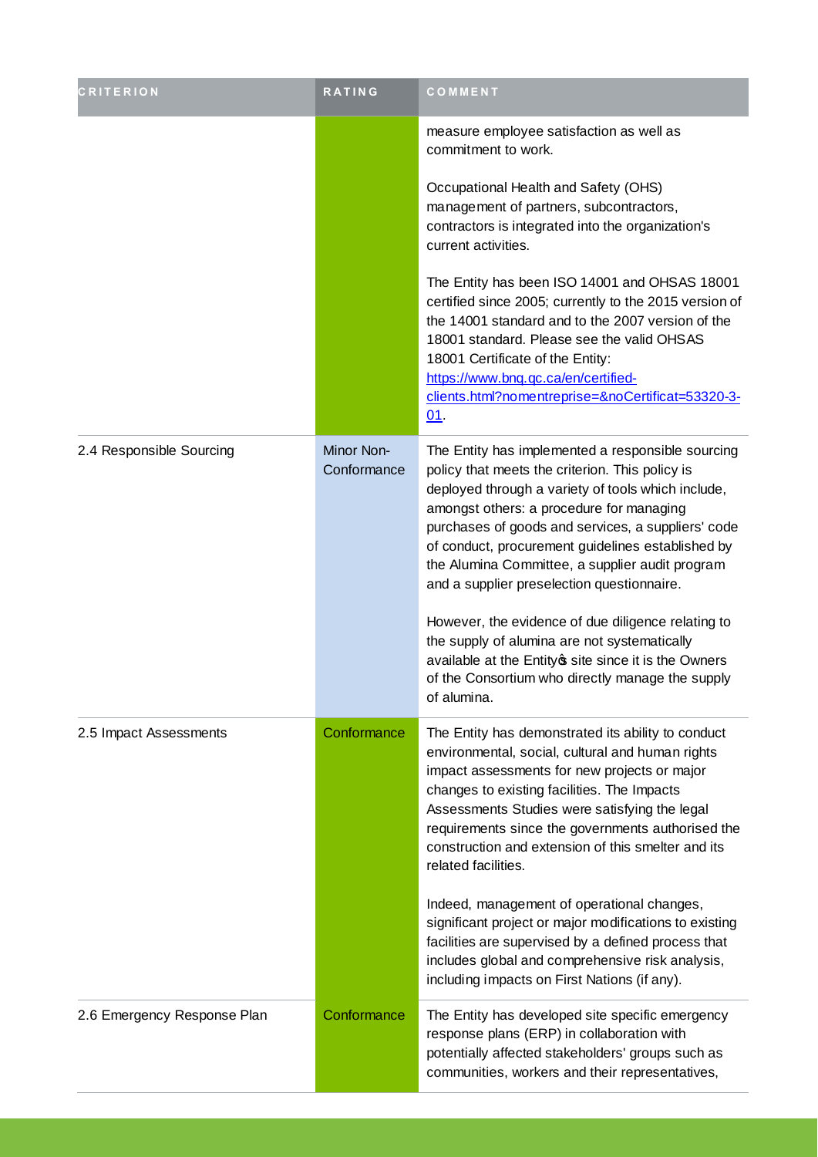| <b>CRITERION</b>            | RATING                    | COMMENT                                                                                                                                                                                                                                                                                                                                                                                                                                                                                                                  |
|-----------------------------|---------------------------|--------------------------------------------------------------------------------------------------------------------------------------------------------------------------------------------------------------------------------------------------------------------------------------------------------------------------------------------------------------------------------------------------------------------------------------------------------------------------------------------------------------------------|
|                             |                           | measure employee satisfaction as well as<br>commitment to work.                                                                                                                                                                                                                                                                                                                                                                                                                                                          |
|                             |                           | Occupational Health and Safety (OHS)<br>management of partners, subcontractors,<br>contractors is integrated into the organization's<br>current activities.                                                                                                                                                                                                                                                                                                                                                              |
|                             |                           | The Entity has been ISO 14001 and OHSAS 18001<br>certified since 2005; currently to the 2015 version of<br>the 14001 standard and to the 2007 version of the<br>18001 standard. Please see the valid OHSAS<br>18001 Certificate of the Entity:<br>https://www.bnq.gc.ca/en/certified-<br>clients.html?nomentreprise=&noCertificat=53320-3-<br>01                                                                                                                                                                         |
| 2.4 Responsible Sourcing    | Minor Non-<br>Conformance | The Entity has implemented a responsible sourcing<br>policy that meets the criterion. This policy is<br>deployed through a variety of tools which include,<br>amongst others: a procedure for managing<br>purchases of goods and services, a suppliers' code<br>of conduct, procurement guidelines established by<br>the Alumina Committee, a supplier audit program<br>and a supplier preselection questionnaire.<br>However, the evidence of due diligence relating to<br>the supply of alumina are not systematically |
|                             |                           | available at the Entity site since it is the Owners<br>of the Consortium who directly manage the supply<br>of alumina.                                                                                                                                                                                                                                                                                                                                                                                                   |
| 2.5 Impact Assessments      | Conformance               | The Entity has demonstrated its ability to conduct<br>environmental, social, cultural and human rights<br>impact assessments for new projects or major<br>changes to existing facilities. The Impacts<br>Assessments Studies were satisfying the legal<br>requirements since the governments authorised the<br>construction and extension of this smelter and its<br>related facilities.                                                                                                                                 |
|                             |                           | Indeed, management of operational changes,<br>significant project or major modifications to existing<br>facilities are supervised by a defined process that<br>includes global and comprehensive risk analysis,<br>including impacts on First Nations (if any).                                                                                                                                                                                                                                                          |
| 2.6 Emergency Response Plan | Conformance               | The Entity has developed site specific emergency<br>response plans (ERP) in collaboration with<br>potentially affected stakeholders' groups such as<br>communities, workers and their representatives,                                                                                                                                                                                                                                                                                                                   |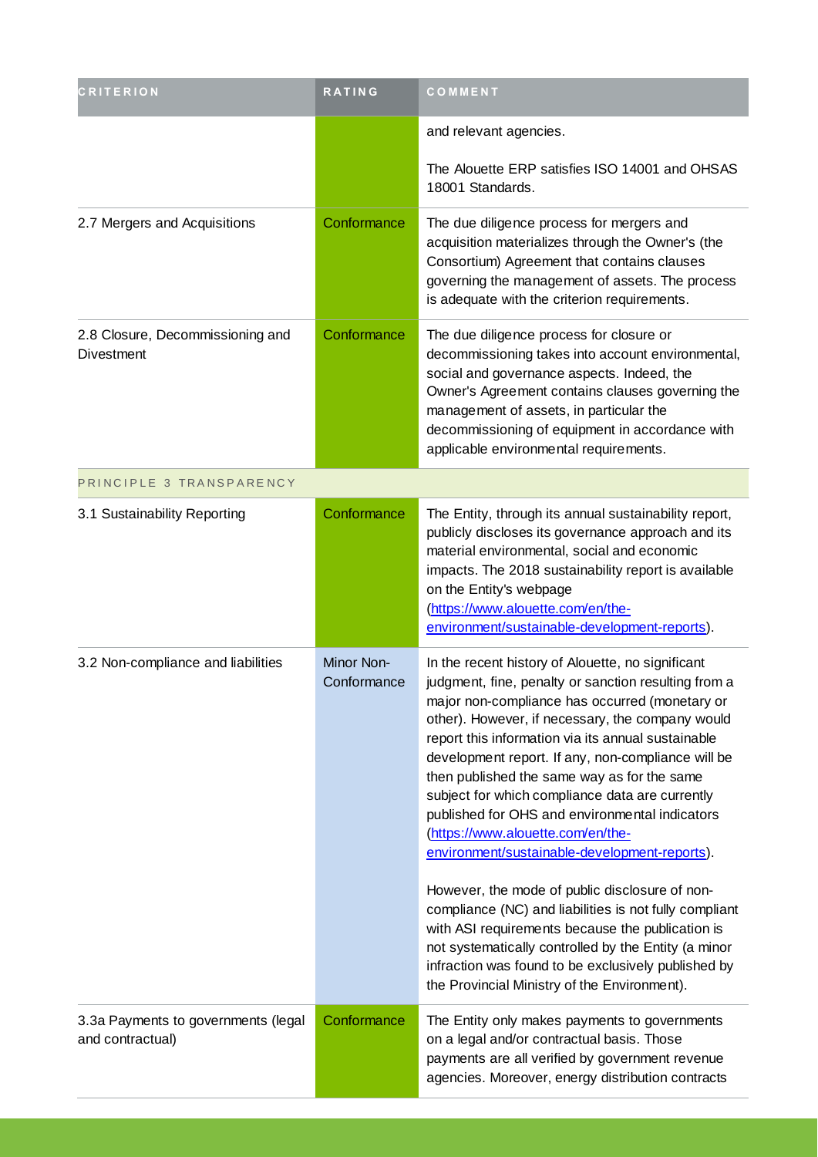| <b>CRITERION</b>                                        | RATING                    | COMMENT                                                                                                                                                                                                                                                                                                                                                                                                                                                                                                                                                                                                                                                                                                                                                                                                                                              |
|---------------------------------------------------------|---------------------------|------------------------------------------------------------------------------------------------------------------------------------------------------------------------------------------------------------------------------------------------------------------------------------------------------------------------------------------------------------------------------------------------------------------------------------------------------------------------------------------------------------------------------------------------------------------------------------------------------------------------------------------------------------------------------------------------------------------------------------------------------------------------------------------------------------------------------------------------------|
|                                                         |                           | and relevant agencies.                                                                                                                                                                                                                                                                                                                                                                                                                                                                                                                                                                                                                                                                                                                                                                                                                               |
|                                                         |                           | The Alouette ERP satisfies ISO 14001 and OHSAS<br>18001 Standards.                                                                                                                                                                                                                                                                                                                                                                                                                                                                                                                                                                                                                                                                                                                                                                                   |
| 2.7 Mergers and Acquisitions                            | Conformance               | The due diligence process for mergers and<br>acquisition materializes through the Owner's (the<br>Consortium) Agreement that contains clauses<br>governing the management of assets. The process<br>is adequate with the criterion requirements.                                                                                                                                                                                                                                                                                                                                                                                                                                                                                                                                                                                                     |
| 2.8 Closure, Decommissioning and<br>Divestment          | Conformance               | The due diligence process for closure or<br>decommissioning takes into account environmental,<br>social and governance aspects. Indeed, the<br>Owner's Agreement contains clauses governing the<br>management of assets, in particular the<br>decommissioning of equipment in accordance with<br>applicable environmental requirements.                                                                                                                                                                                                                                                                                                                                                                                                                                                                                                              |
| PRINCIPLE 3 TRANSPARENCY                                |                           |                                                                                                                                                                                                                                                                                                                                                                                                                                                                                                                                                                                                                                                                                                                                                                                                                                                      |
| 3.1 Sustainability Reporting                            | Conformance               | The Entity, through its annual sustainability report,<br>publicly discloses its governance approach and its<br>material environmental, social and economic<br>impacts. The 2018 sustainability report is available<br>on the Entity's webpage<br>(https://www.alouette.com/en/the-<br>environment/sustainable-development-reports).                                                                                                                                                                                                                                                                                                                                                                                                                                                                                                                  |
| 3.2 Non-compliance and liabilities                      | Minor Non-<br>Conformance | In the recent history of Alouette, no significant<br>judgment, fine, penalty or sanction resulting from a<br>major non-compliance has occurred (monetary or<br>other). However, if necessary, the company would<br>report this information via its annual sustainable<br>development report. If any, non-compliance will be<br>then published the same way as for the same<br>subject for which compliance data are currently<br>published for OHS and environmental indicators<br>(https://www.alouette.com/en/the-<br>environment/sustainable-development-reports).<br>However, the mode of public disclosure of non-<br>compliance (NC) and liabilities is not fully compliant<br>with ASI requirements because the publication is<br>not systematically controlled by the Entity (a minor<br>infraction was found to be exclusively published by |
|                                                         |                           | the Provincial Ministry of the Environment).                                                                                                                                                                                                                                                                                                                                                                                                                                                                                                                                                                                                                                                                                                                                                                                                         |
| 3.3a Payments to governments (legal<br>and contractual) | Conformance               | The Entity only makes payments to governments<br>on a legal and/or contractual basis. Those<br>payments are all verified by government revenue<br>agencies. Moreover, energy distribution contracts                                                                                                                                                                                                                                                                                                                                                                                                                                                                                                                                                                                                                                                  |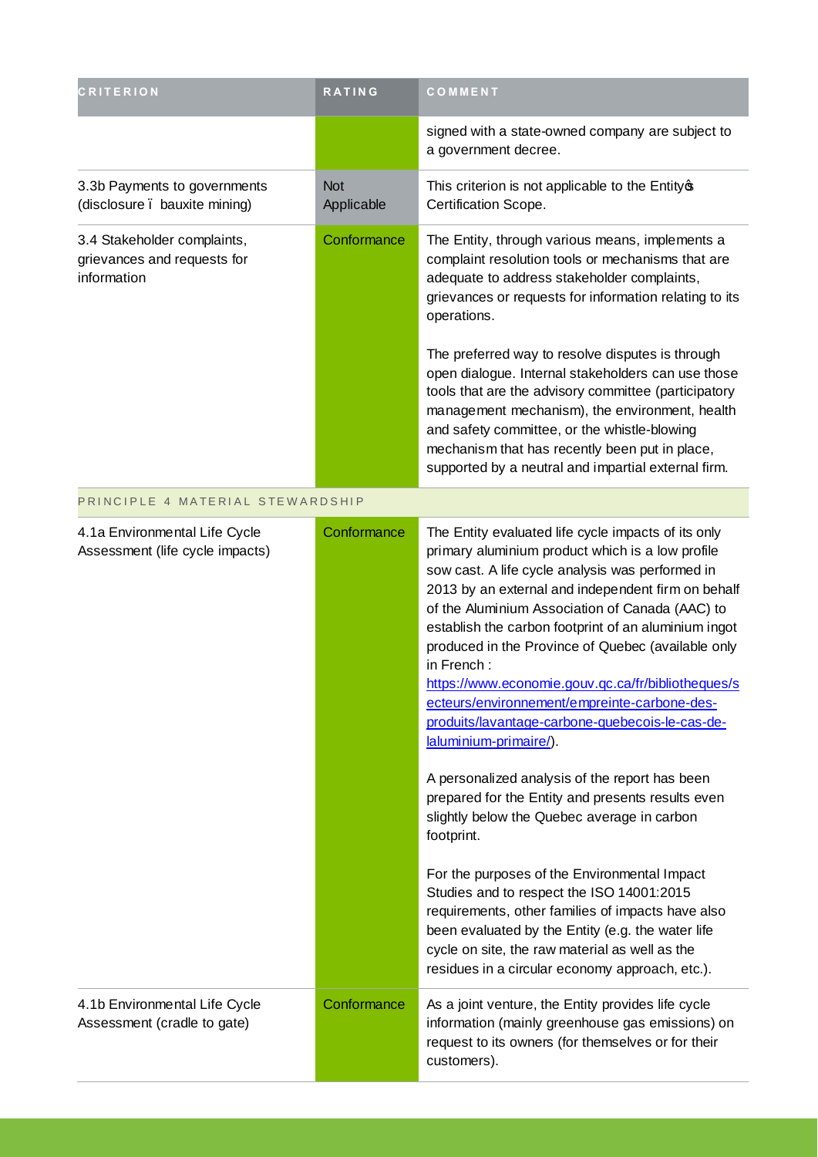| <b>CRITERION</b>                                                          | <b>RATING</b>            | COMMENT                                                                                                                                                                                                                                                                                                                                                                                                                                                                                                                                                                                                                                                                                                                                                                                                                                                                                                                                                                                                                                                             |
|---------------------------------------------------------------------------|--------------------------|---------------------------------------------------------------------------------------------------------------------------------------------------------------------------------------------------------------------------------------------------------------------------------------------------------------------------------------------------------------------------------------------------------------------------------------------------------------------------------------------------------------------------------------------------------------------------------------------------------------------------------------------------------------------------------------------------------------------------------------------------------------------------------------------------------------------------------------------------------------------------------------------------------------------------------------------------------------------------------------------------------------------------------------------------------------------|
|                                                                           |                          | signed with a state-owned company are subject to<br>a government decree.                                                                                                                                                                                                                                                                                                                                                                                                                                                                                                                                                                                                                                                                                                                                                                                                                                                                                                                                                                                            |
| 3.3b Payments to governments<br>(disclosure . bauxite mining)             | <b>Not</b><br>Applicable | This criterion is not applicable to the Entity of<br>Certification Scope.                                                                                                                                                                                                                                                                                                                                                                                                                                                                                                                                                                                                                                                                                                                                                                                                                                                                                                                                                                                           |
| 3.4 Stakeholder complaints,<br>grievances and requests for<br>information | Conformance              | The Entity, through various means, implements a<br>complaint resolution tools or mechanisms that are<br>adequate to address stakeholder complaints,<br>grievances or requests for information relating to its<br>operations.                                                                                                                                                                                                                                                                                                                                                                                                                                                                                                                                                                                                                                                                                                                                                                                                                                        |
|                                                                           |                          | The preferred way to resolve disputes is through<br>open dialogue. Internal stakeholders can use those<br>tools that are the advisory committee (participatory<br>management mechanism), the environment, health<br>and safety committee, or the whistle-blowing<br>mechanism that has recently been put in place,<br>supported by a neutral and impartial external firm.                                                                                                                                                                                                                                                                                                                                                                                                                                                                                                                                                                                                                                                                                           |
| PRINCIPLE 4 MATERIAL STEWARDSHIP                                          |                          |                                                                                                                                                                                                                                                                                                                                                                                                                                                                                                                                                                                                                                                                                                                                                                                                                                                                                                                                                                                                                                                                     |
| 4.1a Environmental Life Cycle<br>Assessment (life cycle impacts)          | Conformance              | The Entity evaluated life cycle impacts of its only<br>primary aluminium product which is a low profile<br>sow cast. A life cycle analysis was performed in<br>2013 by an external and independent firm on behalf<br>of the Aluminium Association of Canada (AAC) to<br>establish the carbon footprint of an aluminium ingot<br>produced in the Province of Quebec (available only<br>in French:<br>https://www.economie.gouv.gc.ca/fr/bibliotheques/s<br>ecteurs/environnement/empreinte-carbone-des-<br>produits/lavantage-carbone-quebecois-le-cas-de-<br>laluminium-primaire/).<br>A personalized analysis of the report has been<br>prepared for the Entity and presents results even<br>slightly below the Quebec average in carbon<br>footprint.<br>For the purposes of the Environmental Impact<br>Studies and to respect the ISO 14001:2015<br>requirements, other families of impacts have also<br>been evaluated by the Entity (e.g. the water life<br>cycle on site, the raw material as well as the<br>residues in a circular economy approach, etc.). |
| 4.1b Environmental Life Cycle<br>Assessment (cradle to gate)              | Conformance              | As a joint venture, the Entity provides life cycle<br>information (mainly greenhouse gas emissions) on<br>request to its owners (for themselves or for their<br>customers).                                                                                                                                                                                                                                                                                                                                                                                                                                                                                                                                                                                                                                                                                                                                                                                                                                                                                         |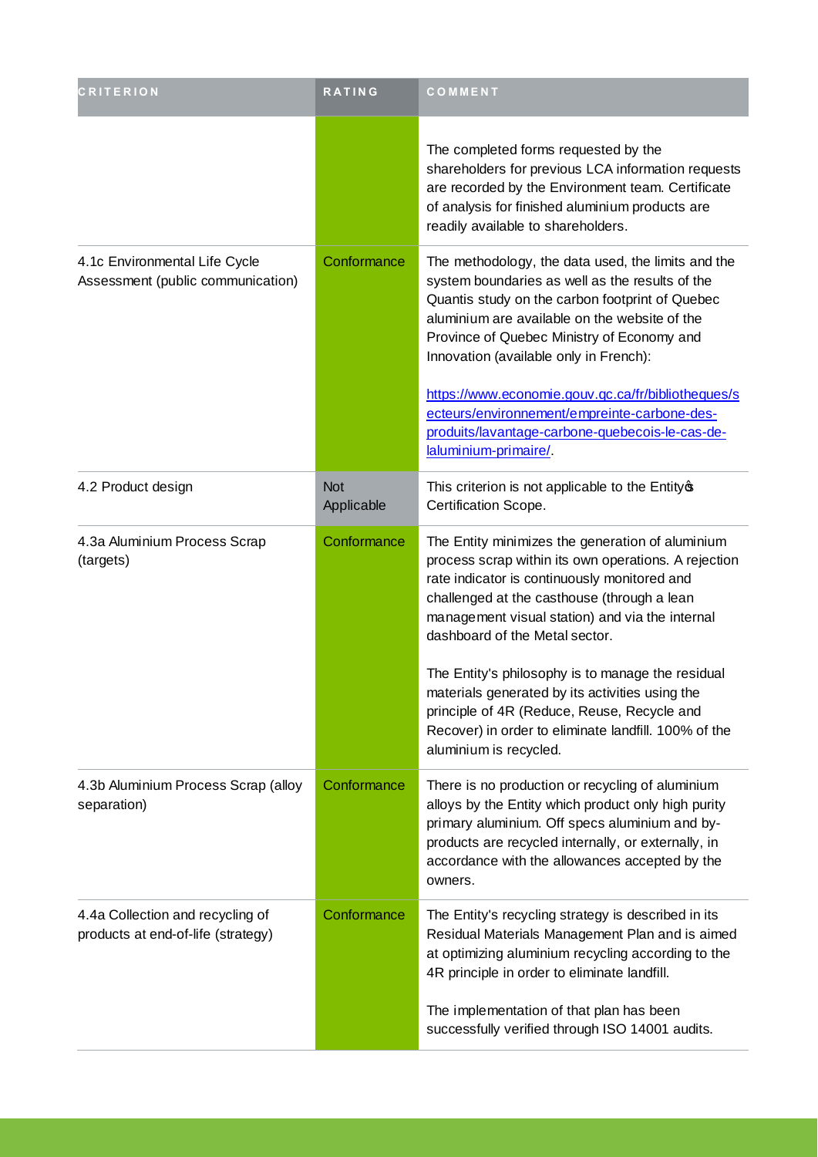| <b>CRITERION</b>                                                       | RATING                   | COMMENT                                                                                                                                                                                                                                                                                                                                                                                                                                                                                                                               |
|------------------------------------------------------------------------|--------------------------|---------------------------------------------------------------------------------------------------------------------------------------------------------------------------------------------------------------------------------------------------------------------------------------------------------------------------------------------------------------------------------------------------------------------------------------------------------------------------------------------------------------------------------------|
|                                                                        |                          | The completed forms requested by the<br>shareholders for previous LCA information requests<br>are recorded by the Environment team. Certificate<br>of analysis for finished aluminium products are<br>readily available to shareholders.                                                                                                                                                                                                                                                                                              |
| 4.1c Environmental Life Cycle<br>Assessment (public communication)     | Conformance              | The methodology, the data used, the limits and the<br>system boundaries as well as the results of the<br>Quantis study on the carbon footprint of Quebec<br>aluminium are available on the website of the<br>Province of Quebec Ministry of Economy and<br>Innovation (available only in French):<br>https://www.economie.gouv.gc.ca/fr/bibliotheques/s<br>ecteurs/environnement/empreinte-carbone-des-<br>produits/lavantage-carbone-quebecois-le-cas-de-<br>laluminium-primaire/                                                    |
| 4.2 Product design                                                     | <b>Not</b><br>Applicable | This criterion is not applicable to the Entity of<br>Certification Scope.                                                                                                                                                                                                                                                                                                                                                                                                                                                             |
| 4.3a Aluminium Process Scrap<br>(targets)                              | Conformance              | The Entity minimizes the generation of aluminium<br>process scrap within its own operations. A rejection<br>rate indicator is continuously monitored and<br>challenged at the casthouse (through a lean<br>management visual station) and via the internal<br>dashboard of the Metal sector.<br>The Entity's philosophy is to manage the residual<br>materials generated by its activities using the<br>principle of 4R (Reduce, Reuse, Recycle and<br>Recover) in order to eliminate landfill. 100% of the<br>aluminium is recycled. |
| 4.3b Aluminium Process Scrap (alloy<br>separation)                     | Conformance              | There is no production or recycling of aluminium<br>alloys by the Entity which product only high purity<br>primary aluminium. Off specs aluminium and by-<br>products are recycled internally, or externally, in<br>accordance with the allowances accepted by the<br>owners.                                                                                                                                                                                                                                                         |
| 4.4a Collection and recycling of<br>products at end-of-life (strategy) | Conformance              | The Entity's recycling strategy is described in its<br>Residual Materials Management Plan and is aimed<br>at optimizing aluminium recycling according to the<br>4R principle in order to eliminate landfill.<br>The implementation of that plan has been<br>successfully verified through ISO 14001 audits.                                                                                                                                                                                                                           |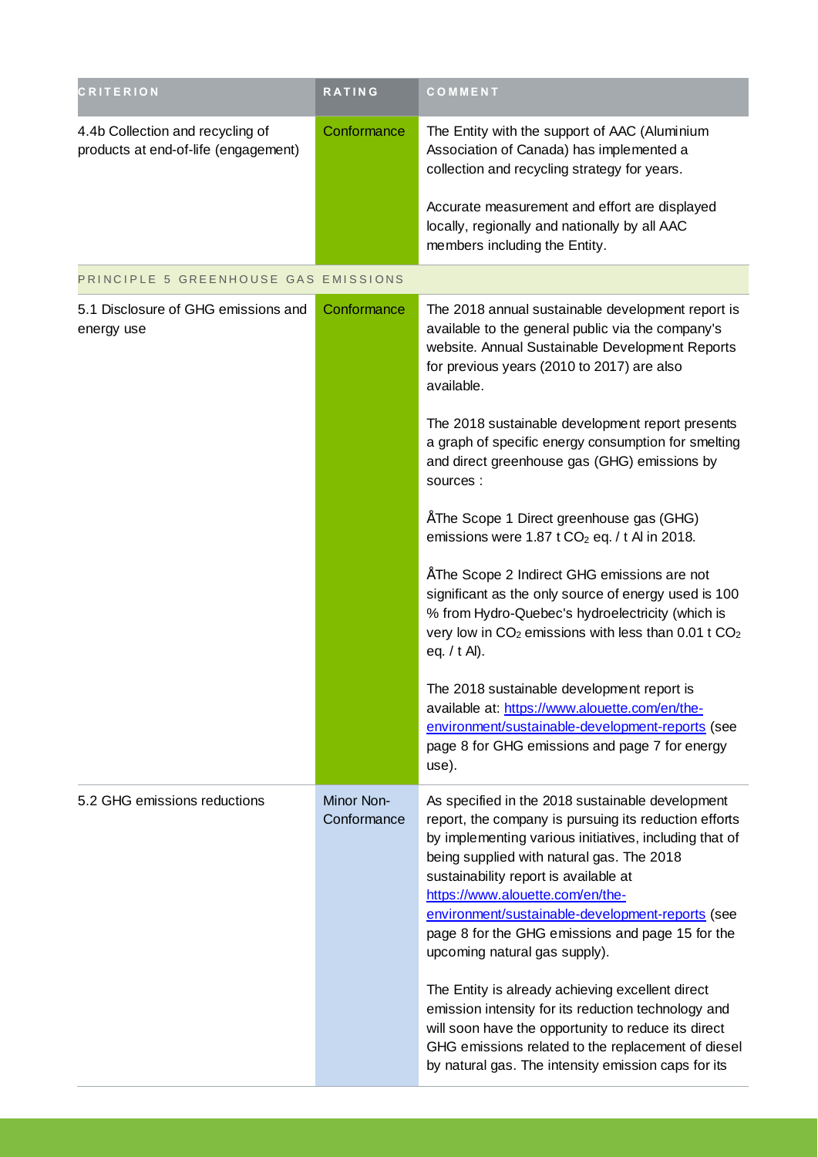| <b>CRITERION</b>                                                         | <b>RATING</b>                    | COMMENT                                                                                                                                                                                                                                                                                                                                                                                                                                |
|--------------------------------------------------------------------------|----------------------------------|----------------------------------------------------------------------------------------------------------------------------------------------------------------------------------------------------------------------------------------------------------------------------------------------------------------------------------------------------------------------------------------------------------------------------------------|
| 4.4b Collection and recycling of<br>products at end-of-life (engagement) | Conformance                      | The Entity with the support of AAC (Aluminium<br>Association of Canada) has implemented a<br>collection and recycling strategy for years.                                                                                                                                                                                                                                                                                              |
|                                                                          |                                  | Accurate measurement and effort are displayed<br>locally, regionally and nationally by all AAC<br>members including the Entity.                                                                                                                                                                                                                                                                                                        |
| PRINCIPLE 5 GREENHOUSE GAS EMISSIONS                                     |                                  |                                                                                                                                                                                                                                                                                                                                                                                                                                        |
| 5.1 Disclosure of GHG emissions and<br>energy use                        | Conformance                      | The 2018 annual sustainable development report is<br>available to the general public via the company's<br>website. Annual Sustainable Development Reports<br>for previous years (2010 to 2017) are also<br>available.                                                                                                                                                                                                                  |
|                                                                          |                                  | The 2018 sustainable development report presents<br>a graph of specific energy consumption for smelting<br>and direct greenhouse gas (GHG) emissions by<br>sources :                                                                                                                                                                                                                                                                   |
|                                                                          |                                  | "The Scope 1 Direct greenhouse gas (GHG)<br>emissions were 1.87 t $CO2$ eq. / t AI in 2018.                                                                                                                                                                                                                                                                                                                                            |
|                                                                          |                                  | "The Scope 2 Indirect GHG emissions are not<br>significant as the only source of energy used is 100<br>% from Hydro-Quebec's hydroelectricity (which is<br>very low in CO <sub>2</sub> emissions with less than 0.01 t CO <sub>2</sub><br>eq. / t Al).                                                                                                                                                                                 |
|                                                                          |                                  | The 2018 sustainable development report is<br>available at: https://www.alouette.com/en/the-<br>environment/sustainable-development-reports (see<br>page 8 for GHG emissions and page 7 for energy<br>use).                                                                                                                                                                                                                            |
| 5.2 GHG emissions reductions                                             | <b>Minor Non-</b><br>Conformance | As specified in the 2018 sustainable development<br>report, the company is pursuing its reduction efforts<br>by implementing various initiatives, including that of<br>being supplied with natural gas. The 2018<br>sustainability report is available at<br>https://www.alouette.com/en/the-<br>environment/sustainable-development-reports (see<br>page 8 for the GHG emissions and page 15 for the<br>upcoming natural gas supply). |
|                                                                          |                                  | The Entity is already achieving excellent direct<br>emission intensity for its reduction technology and<br>will soon have the opportunity to reduce its direct<br>GHG emissions related to the replacement of diesel<br>by natural gas. The intensity emission caps for its                                                                                                                                                            |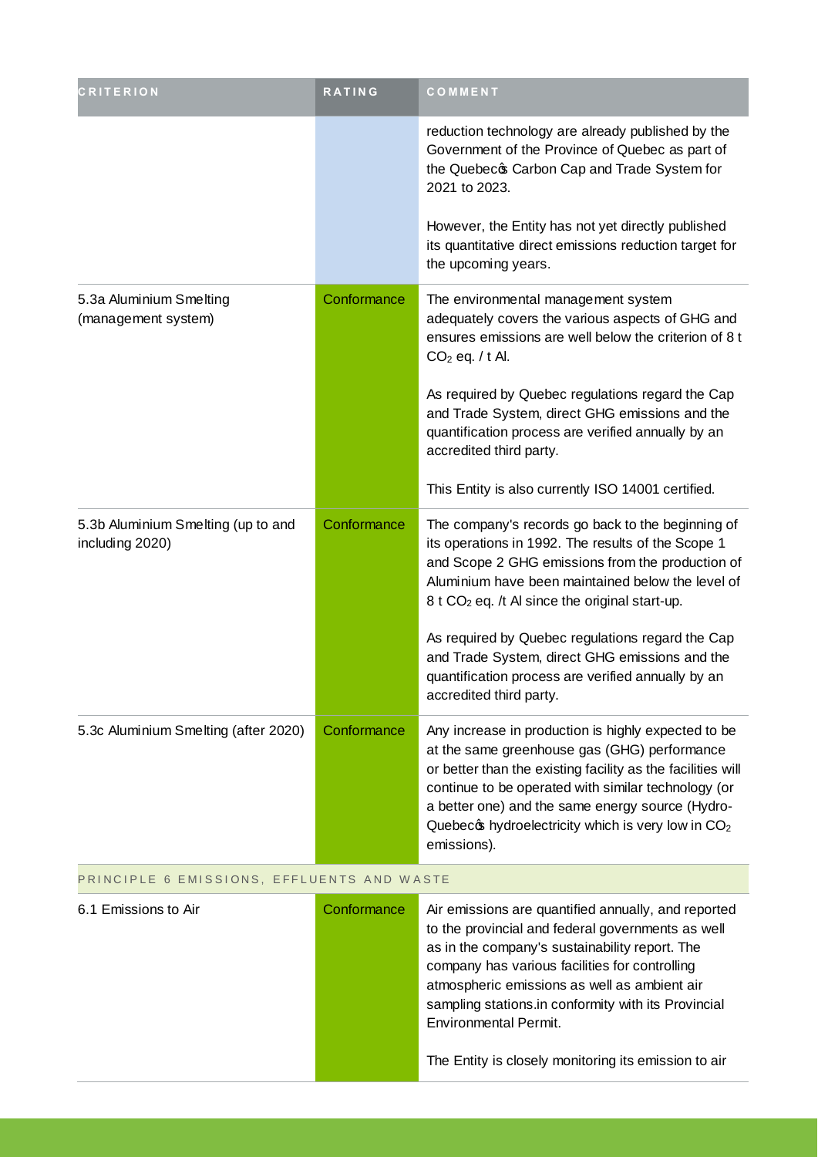| CRITERION                                             | <b>RATING</b> | COMMENT                                                                                                                                                                                                                                                                                                                                                        |  |
|-------------------------------------------------------|---------------|----------------------------------------------------------------------------------------------------------------------------------------------------------------------------------------------------------------------------------------------------------------------------------------------------------------------------------------------------------------|--|
|                                                       |               | reduction technology are already published by the<br>Government of the Province of Quebec as part of<br>the Quebecc Carbon Cap and Trade System for<br>2021 to 2023.                                                                                                                                                                                           |  |
|                                                       |               | However, the Entity has not yet directly published<br>its quantitative direct emissions reduction target for<br>the upcoming years.                                                                                                                                                                                                                            |  |
| 5.3a Aluminium Smelting<br>(management system)        | Conformance   | The environmental management system<br>adequately covers the various aspects of GHG and<br>ensures emissions are well below the criterion of 8 t<br>$CO2$ eq. / t Al.                                                                                                                                                                                          |  |
|                                                       |               | As required by Quebec regulations regard the Cap<br>and Trade System, direct GHG emissions and the<br>quantification process are verified annually by an<br>accredited third party.                                                                                                                                                                            |  |
|                                                       |               | This Entity is also currently ISO 14001 certified.                                                                                                                                                                                                                                                                                                             |  |
| 5.3b Aluminium Smelting (up to and<br>including 2020) | Conformance   | The company's records go back to the beginning of<br>its operations in 1992. The results of the Scope 1<br>and Scope 2 GHG emissions from the production of<br>Aluminium have been maintained below the level of<br>8 t CO <sub>2</sub> eq. /t Al since the original start-up.                                                                                 |  |
|                                                       |               | As required by Quebec regulations regard the Cap<br>and Trade System, direct GHG emissions and the<br>quantification process are verified annually by an<br>accredited third party.                                                                                                                                                                            |  |
| 5.3c Aluminium Smelting (after 2020)                  | Conformance   | Any increase in production is highly expected to be<br>at the same greenhouse gas (GHG) performance<br>or better than the existing facility as the facilities will<br>continue to be operated with similar technology (or<br>a better one) and the same energy source (Hydro-<br>Quebec thy droelectricity which is very low in CO <sub>2</sub><br>emissions). |  |
| PRINCIPLE 6 EMISSIONS, EFFLUENTS AND WASTE            |               |                                                                                                                                                                                                                                                                                                                                                                |  |
| 6.1 Emissions to Air                                  | Conformance   | Air emissions are quantified annually, and reported<br>to the provincial and federal governments as well<br>as in the company's sustainability report. The                                                                                                                                                                                                     |  |

company has various facilities for controlling atmospheric emissions as well as ambient air sampling stations.in conformity with its Provincial Environmental Permit.

The Entity is closely monitoring its emission to air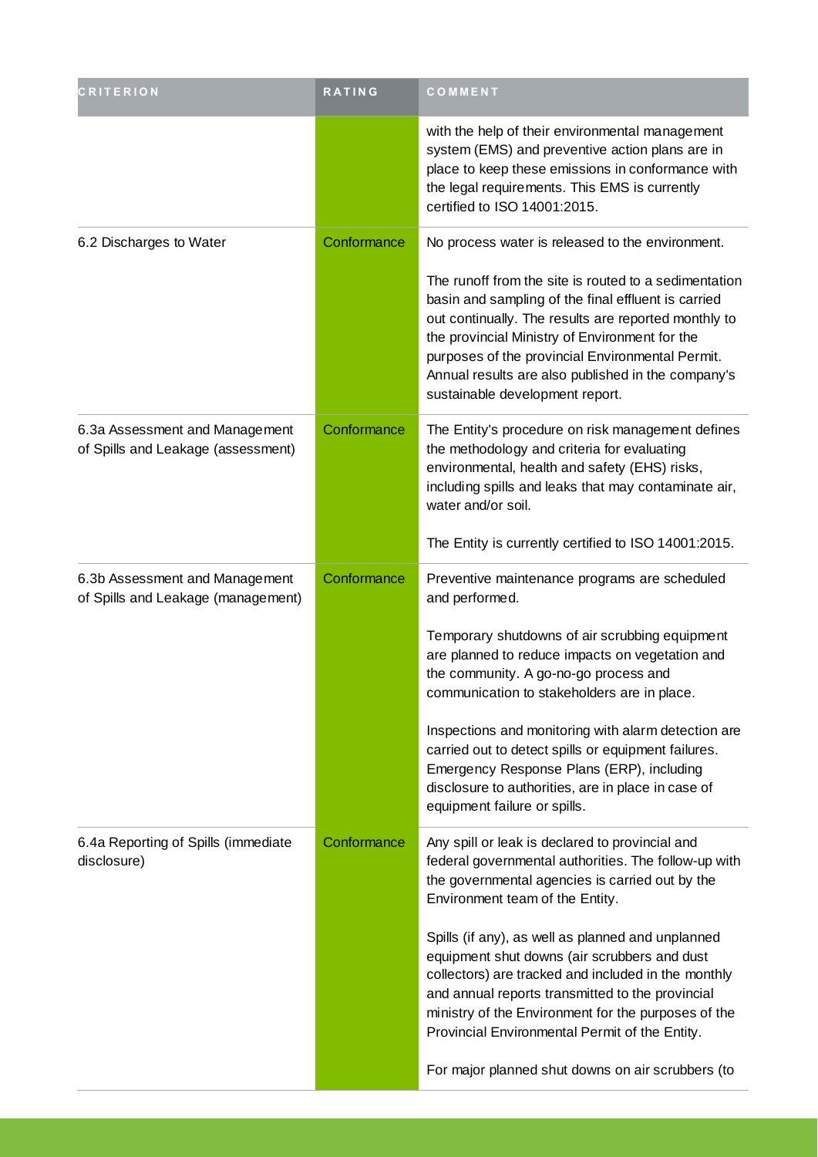| <b>CRITERION</b>                                                     | <b>RATING</b> | COMMENT                                                                                                                                                                                                                                                                                                                                                             |
|----------------------------------------------------------------------|---------------|---------------------------------------------------------------------------------------------------------------------------------------------------------------------------------------------------------------------------------------------------------------------------------------------------------------------------------------------------------------------|
|                                                                      |               | with the help of their environmental management<br>system (EMS) and preventive action plans are in<br>place to keep these emissions in conformance with<br>the legal requirements. This EMS is currently<br>certified to ISO 14001:2015.                                                                                                                            |
| 6.2 Discharges to Water                                              | Conformance   | No process water is released to the environment.                                                                                                                                                                                                                                                                                                                    |
|                                                                      |               | The runoff from the site is routed to a sedimentation<br>basin and sampling of the final effluent is carried<br>out continually. The results are reported monthly to<br>the provincial Ministry of Environment for the<br>purposes of the provincial Environmental Permit.<br>Annual results are also published in the company's<br>sustainable development report. |
| 6.3a Assessment and Management<br>of Spills and Leakage (assessment) | Conformance   | The Entity's procedure on risk management defines<br>the methodology and criteria for evaluating<br>environmental, health and safety (EHS) risks,<br>including spills and leaks that may contaminate air,<br>water and/or soil.                                                                                                                                     |
|                                                                      |               | The Entity is currently certified to ISO 14001:2015.                                                                                                                                                                                                                                                                                                                |
| 6.3b Assessment and Management<br>of Spills and Leakage (management) | Conformance   | Preventive maintenance programs are scheduled<br>and performed.                                                                                                                                                                                                                                                                                                     |
|                                                                      |               | Temporary shutdowns of air scrubbing equipment<br>are planned to reduce impacts on vegetation and<br>the community. A go-no-go process and<br>communication to stakeholders are in place.                                                                                                                                                                           |
|                                                                      |               | Inspections and monitoring with alarm detection are<br>carried out to detect spills or equipment failures.<br>Emergency Response Plans (ERP), including<br>disclosure to authorities, are in place in case of<br>equipment failure or spills.                                                                                                                       |
| 6.4a Reporting of Spills (immediate<br>disclosure)                   | Conformance   | Any spill or leak is declared to provincial and<br>federal governmental authorities. The follow-up with<br>the governmental agencies is carried out by the<br>Environment team of the Entity.                                                                                                                                                                       |
|                                                                      |               | Spills (if any), as well as planned and unplanned<br>equipment shut downs (air scrubbers and dust<br>collectors) are tracked and included in the monthly<br>and annual reports transmitted to the provincial<br>ministry of the Environment for the purposes of the<br>Provincial Environmental Permit of the Entity.                                               |
|                                                                      |               | For major planned shut downs on air scrubbers (to                                                                                                                                                                                                                                                                                                                   |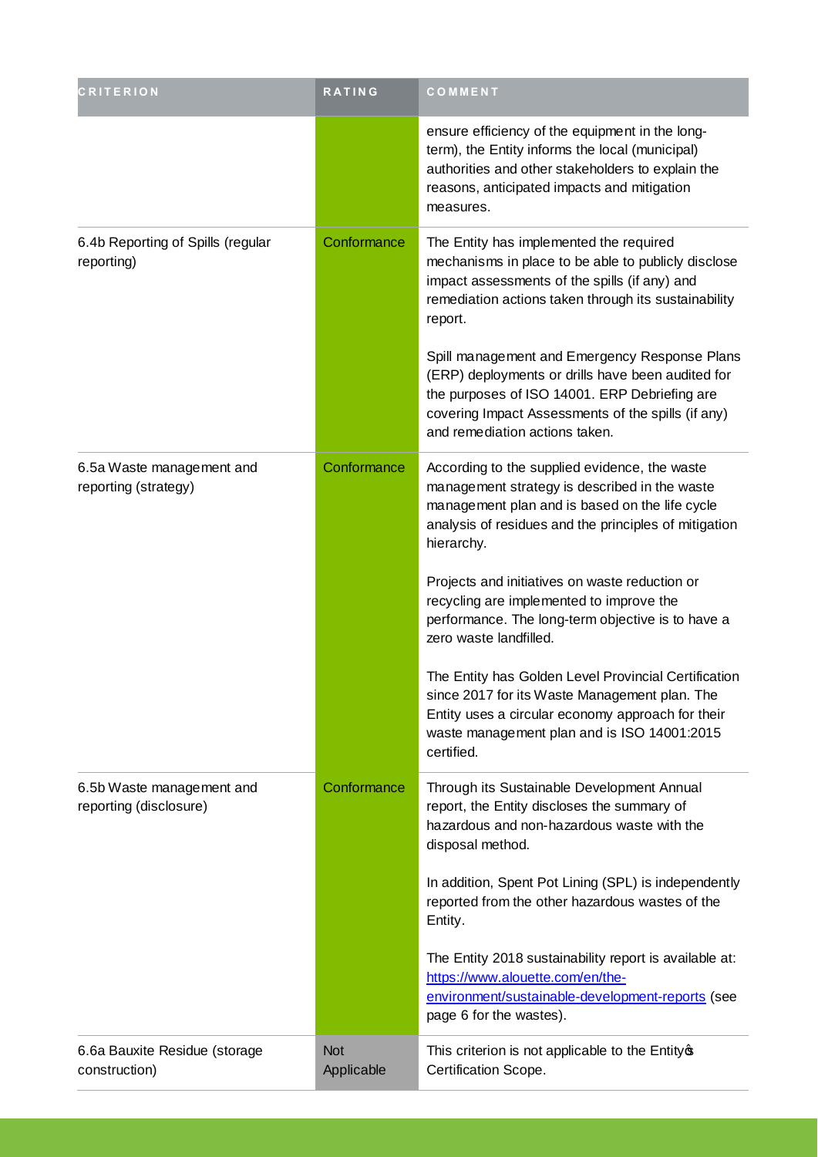| <b>CRITERION</b>                                    | <b>RATING</b>            | COMMENT                                                                                                                                                                                                                                     |
|-----------------------------------------------------|--------------------------|---------------------------------------------------------------------------------------------------------------------------------------------------------------------------------------------------------------------------------------------|
|                                                     |                          | ensure efficiency of the equipment in the long-<br>term), the Entity informs the local (municipal)<br>authorities and other stakeholders to explain the<br>reasons, anticipated impacts and mitigation<br>measures.                         |
| 6.4b Reporting of Spills (regular<br>reporting)     | Conformance              | The Entity has implemented the required<br>mechanisms in place to be able to publicly disclose<br>impact assessments of the spills (if any) and<br>remediation actions taken through its sustainability<br>report.                          |
|                                                     |                          | Spill management and Emergency Response Plans<br>(ERP) deployments or drills have been audited for<br>the purposes of ISO 14001. ERP Debriefing are<br>covering Impact Assessments of the spills (if any)<br>and remediation actions taken. |
| 6.5a Waste management and<br>reporting (strategy)   | Conformance              | According to the supplied evidence, the waste<br>management strategy is described in the waste<br>management plan and is based on the life cycle<br>analysis of residues and the principles of mitigation<br>hierarchy.                     |
|                                                     |                          | Projects and initiatives on waste reduction or<br>recycling are implemented to improve the<br>performance. The long-term objective is to have a<br>zero waste landfilled.                                                                   |
|                                                     |                          | The Entity has Golden Level Provincial Certification<br>since 2017 for its Waste Management plan. The<br>Entity uses a circular economy approach for their<br>waste management plan and is ISO 14001:2015<br>certified.                     |
| 6.5b Waste management and<br>reporting (disclosure) | Conformance              | Through its Sustainable Development Annual<br>report, the Entity discloses the summary of<br>hazardous and non-hazardous waste with the<br>disposal method.                                                                                 |
|                                                     |                          | In addition, Spent Pot Lining (SPL) is independently<br>reported from the other hazardous wastes of the<br>Entity.                                                                                                                          |
|                                                     |                          | The Entity 2018 sustainability report is available at:<br>https://www.alouette.com/en/the-<br>environment/sustainable-development-reports (see<br>page 6 for the wastes).                                                                   |
| 6.6a Bauxite Residue (storage<br>construction)      | <b>Not</b><br>Applicable | This criterion is not applicable to the Entity of<br>Certification Scope.                                                                                                                                                                   |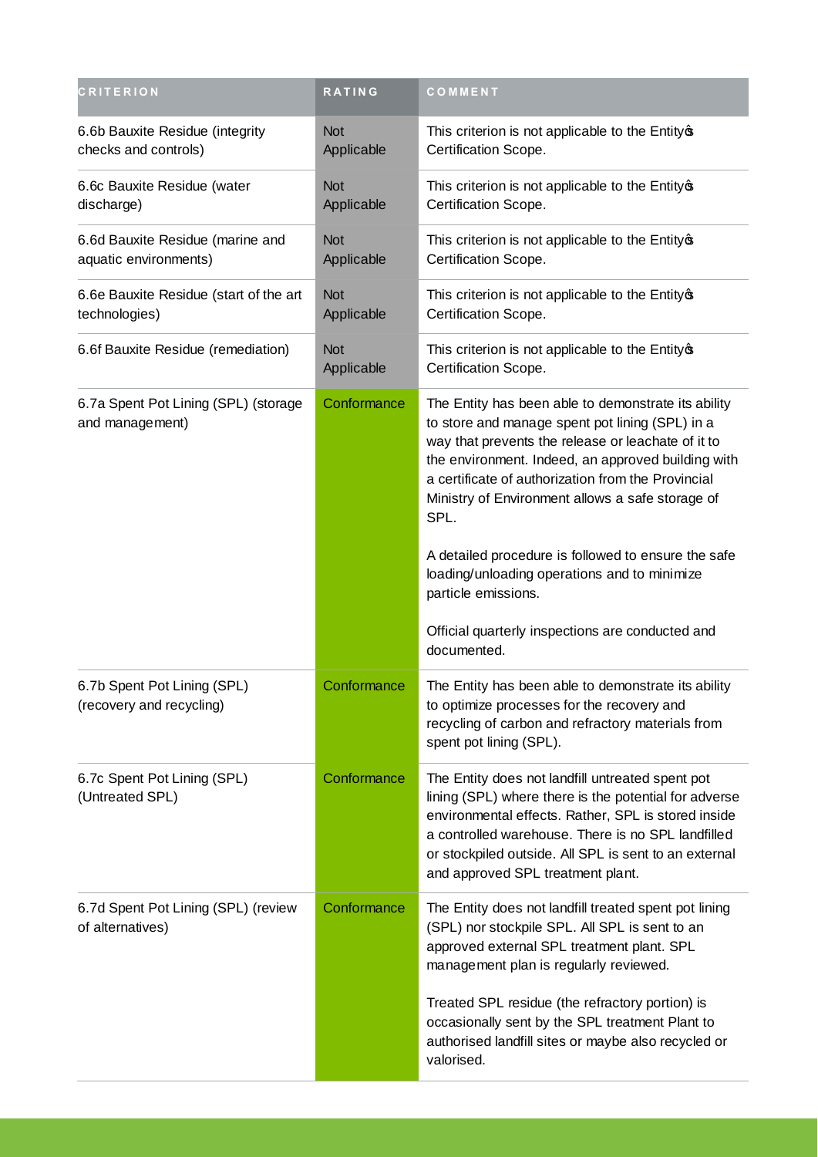| <b>CRITERION</b>                                          | <b>RATING</b>            | COMMENT                                                                                                                                                                                                                                                                                                                              |
|-----------------------------------------------------------|--------------------------|--------------------------------------------------------------------------------------------------------------------------------------------------------------------------------------------------------------------------------------------------------------------------------------------------------------------------------------|
| 6.6b Bauxite Residue (integrity<br>checks and controls)   | <b>Not</b><br>Applicable | This criterion is not applicable to the Entity of<br>Certification Scope.                                                                                                                                                                                                                                                            |
| 6.6c Bauxite Residue (water<br>discharge)                 | <b>Not</b><br>Applicable | This criterion is not applicable to the Entity of<br>Certification Scope.                                                                                                                                                                                                                                                            |
| 6.6d Bauxite Residue (marine and<br>aquatic environments) | <b>Not</b><br>Applicable | This criterion is not applicable to the Entity of<br>Certification Scope.                                                                                                                                                                                                                                                            |
| 6.6e Bauxite Residue (start of the art<br>technologies)   | <b>Not</b><br>Applicable | This criterion is not applicable to the Entity of<br>Certification Scope.                                                                                                                                                                                                                                                            |
| 6.6f Bauxite Residue (remediation)                        | <b>Not</b><br>Applicable | This criterion is not applicable to the Entity®<br>Certification Scope.                                                                                                                                                                                                                                                              |
| 6.7a Spent Pot Lining (SPL) (storage<br>and management)   | Conformance              | The Entity has been able to demonstrate its ability<br>to store and manage spent pot lining (SPL) in a<br>way that prevents the release or leachate of it to<br>the environment. Indeed, an approved building with<br>a certificate of authorization from the Provincial<br>Ministry of Environment allows a safe storage of<br>SPL. |
|                                                           |                          | A detailed procedure is followed to ensure the safe<br>loading/unloading operations and to minimize<br>particle emissions.                                                                                                                                                                                                           |
|                                                           |                          | Official quarterly inspections are conducted and<br>documented.                                                                                                                                                                                                                                                                      |
| 6.7b Spent Pot Lining (SPL)<br>(recovery and recycling)   | Conformance              | The Entity has been able to demonstrate its ability<br>to optimize processes for the recovery and<br>recycling of carbon and refractory materials from<br>spent pot lining (SPL).                                                                                                                                                    |
| 6.7c Spent Pot Lining (SPL)<br>(Untreated SPL)            | Conformance              | The Entity does not landfill untreated spent pot<br>lining (SPL) where there is the potential for adverse<br>environmental effects. Rather, SPL is stored inside<br>a controlled warehouse. There is no SPL landfilled<br>or stockpiled outside. All SPL is sent to an external<br>and approved SPL treatment plant.                 |
| 6.7d Spent Pot Lining (SPL) (review<br>of alternatives)   | Conformance              | The Entity does not landfill treated spent pot lining<br>(SPL) nor stockpile SPL. All SPL is sent to an<br>approved external SPL treatment plant. SPL<br>management plan is regularly reviewed.                                                                                                                                      |
|                                                           |                          | Treated SPL residue (the refractory portion) is<br>occasionally sent by the SPL treatment Plant to<br>authorised landfill sites or maybe also recycled or<br>valorised.                                                                                                                                                              |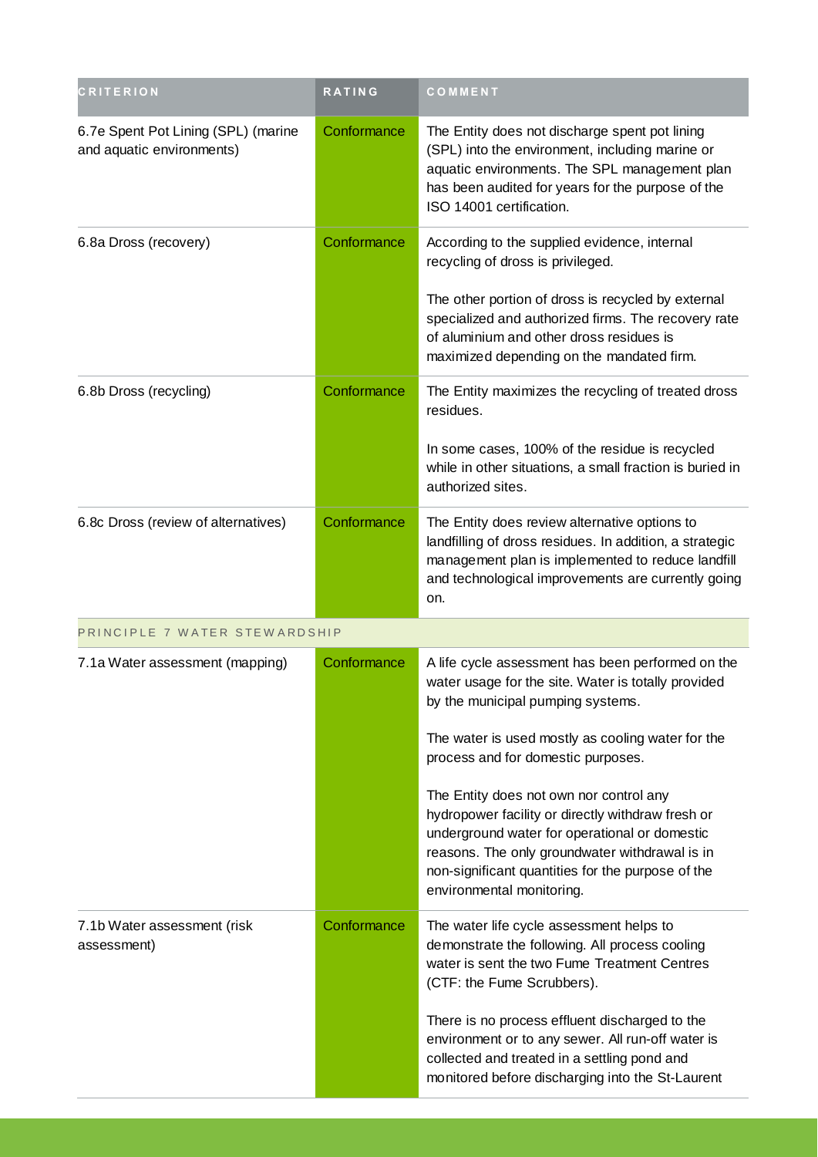| <b>CRITERION</b>                                                 | <b>RATING</b> | COMMENT                                                                                                                                                                                                                                                                                 |
|------------------------------------------------------------------|---------------|-----------------------------------------------------------------------------------------------------------------------------------------------------------------------------------------------------------------------------------------------------------------------------------------|
| 6.7e Spent Pot Lining (SPL) (marine<br>and aquatic environments) | Conformance   | The Entity does not discharge spent pot lining<br>(SPL) into the environment, including marine or<br>aquatic environments. The SPL management plan<br>has been audited for years for the purpose of the<br>ISO 14001 certification.                                                     |
| 6.8a Dross (recovery)                                            | Conformance   | According to the supplied evidence, internal<br>recycling of dross is privileged.<br>The other portion of dross is recycled by external<br>specialized and authorized firms. The recovery rate<br>of aluminium and other dross residues is<br>maximized depending on the mandated firm. |
| 6.8b Dross (recycling)                                           | Conformance   | The Entity maximizes the recycling of treated dross<br>residues.<br>In some cases, 100% of the residue is recycled<br>while in other situations, a small fraction is buried in<br>authorized sites.                                                                                     |
| 6.8c Dross (review of alternatives)                              | Conformance   | The Entity does review alternative options to<br>landfilling of dross residues. In addition, a strategic<br>management plan is implemented to reduce landfill<br>and technological improvements are currently going<br>on.                                                              |
| PRINCIPLE 7 WATER STEWARDSHIP                                    |               |                                                                                                                                                                                                                                                                                         |
| 7.1a Water assessment (mapping)                                  | Conformance   | A life cycle assessment has been performed on the<br>water usage for the site. Water is totally provided<br>by the municipal pumping systems.                                                                                                                                           |
|                                                                  |               | The water is used mostly as cooling water for the<br>process and for domestic purposes.                                                                                                                                                                                                 |
|                                                                  |               | The Entity does not own nor control any<br>hydropower facility or directly withdraw fresh or<br>underground water for operational or domestic<br>reasons. The only groundwater withdrawal is in<br>non-significant quantities for the purpose of the<br>environmental monitoring.       |
| 7.1b Water assessment (risk<br>assessment)                       | Conformance   | The water life cycle assessment helps to<br>demonstrate the following. All process cooling<br>water is sent the two Fume Treatment Centres<br>(CTF: the Fume Scrubbers).                                                                                                                |
|                                                                  |               | There is no process effluent discharged to the<br>environment or to any sewer. All run-off water is<br>collected and treated in a settling pond and<br>monitored before discharging into the St-Laurent                                                                                 |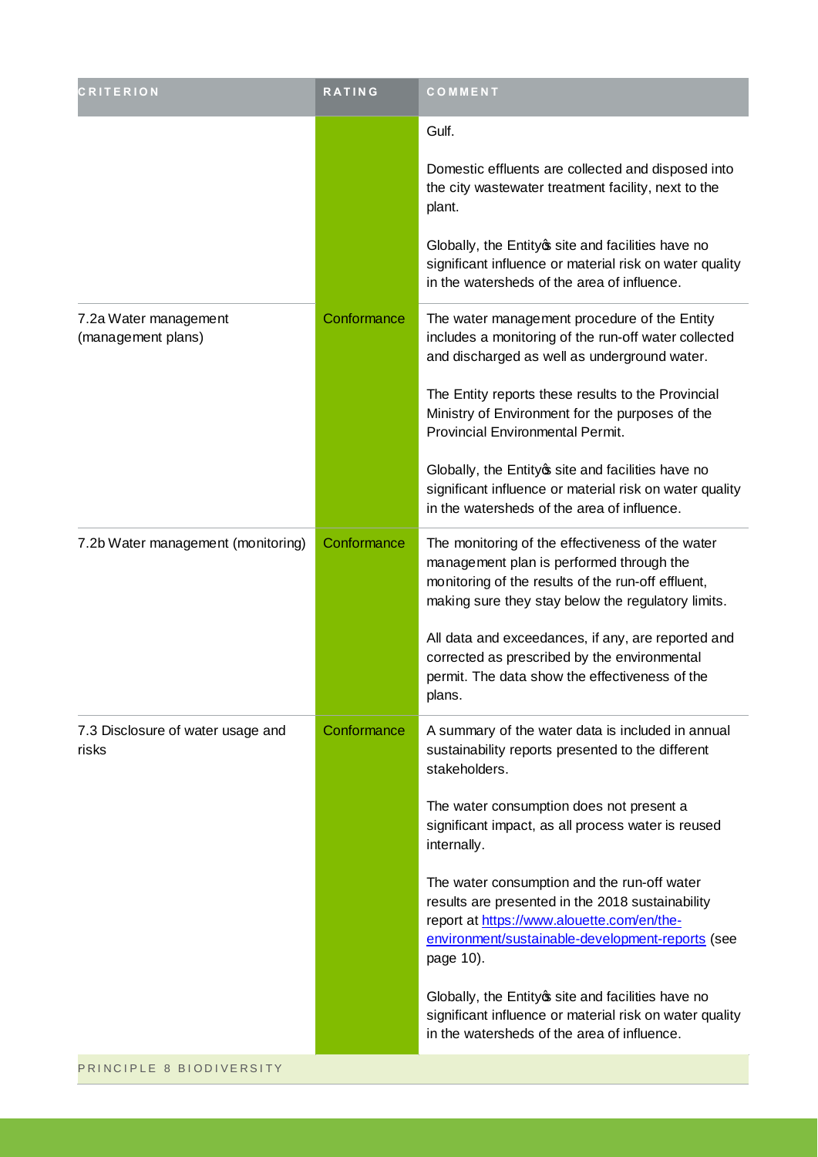| <b>CRITERION</b>                            | <b>RATING</b> | COMMENT                                                                                                                                                                                                        |
|---------------------------------------------|---------------|----------------------------------------------------------------------------------------------------------------------------------------------------------------------------------------------------------------|
|                                             |               | Gulf.                                                                                                                                                                                                          |
|                                             |               | Domestic effluents are collected and disposed into<br>the city wastewater treatment facility, next to the<br>plant.                                                                                            |
|                                             |               | Globally, the Entity of site and facilities have no<br>significant influence or material risk on water quality<br>in the watersheds of the area of influence.                                                  |
| 7.2a Water management<br>(management plans) | Conformance   | The water management procedure of the Entity<br>includes a monitoring of the run-off water collected<br>and discharged as well as underground water.                                                           |
|                                             |               | The Entity reports these results to the Provincial<br>Ministry of Environment for the purposes of the<br>Provincial Environmental Permit.                                                                      |
|                                             |               | Globally, the Entity of site and facilities have no<br>significant influence or material risk on water quality<br>in the watersheds of the area of influence.                                                  |
| 7.2b Water management (monitoring)          | Conformance   | The monitoring of the effectiveness of the water<br>management plan is performed through the<br>monitoring of the results of the run-off effluent,<br>making sure they stay below the regulatory limits.       |
|                                             |               | All data and exceedances, if any, are reported and<br>corrected as prescribed by the environmental<br>permit. The data show the effectiveness of the<br>plans.                                                 |
| 7.3 Disclosure of water usage and<br>risks  | Conformance   | A summary of the water data is included in annual<br>sustainability reports presented to the different<br>stakeholders.                                                                                        |
|                                             |               | The water consumption does not present a<br>significant impact, as all process water is reused<br>internally.                                                                                                  |
|                                             |               | The water consumption and the run-off water<br>results are presented in the 2018 sustainability<br>report at https://www.alouette.com/en/the-<br>environment/sustainable-development-reports (see<br>page 10). |
|                                             |               | Globally, the Entity of site and facilities have no<br>significant influence or material risk on water quality<br>in the watersheds of the area of influence.                                                  |
| PRINCIPLE 8 BIODIVERSITY                    |               |                                                                                                                                                                                                                |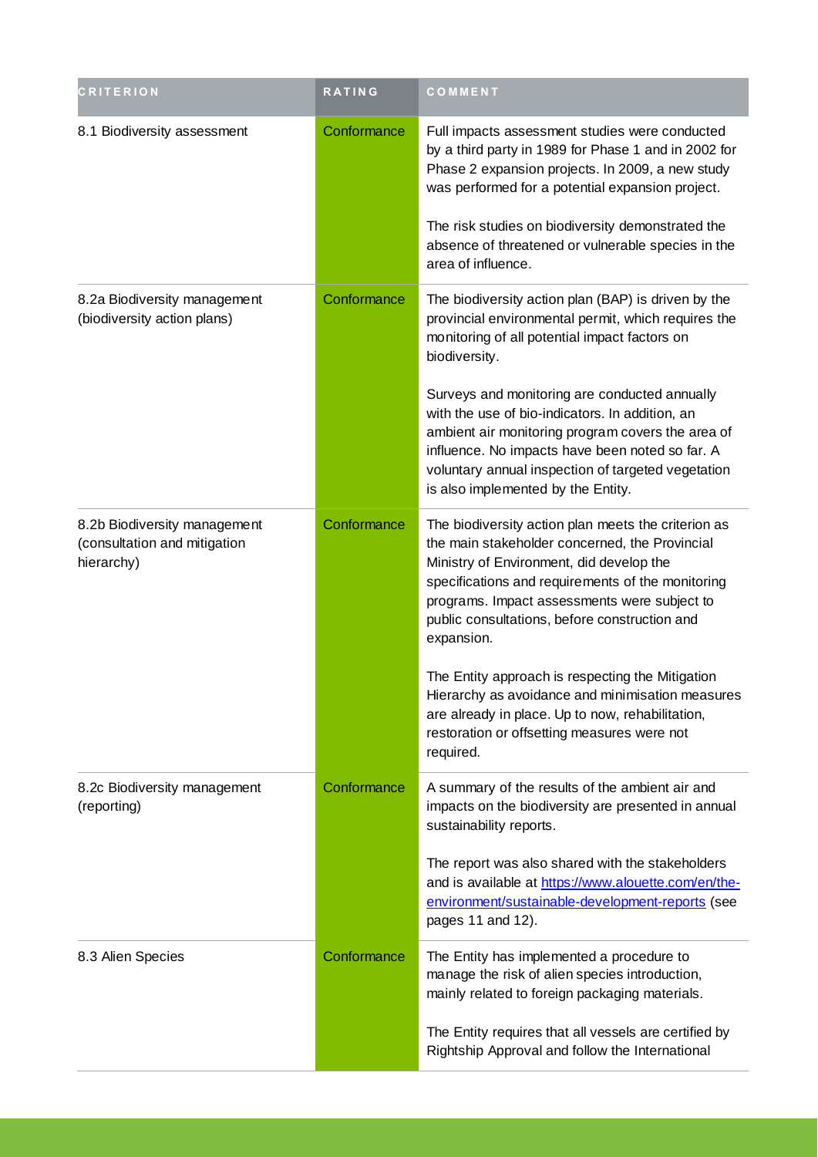| <b>CRITERION</b>                                                           | <b>RATING</b> | COMMENT                                                                                                                                                                                                                                                                                                               |
|----------------------------------------------------------------------------|---------------|-----------------------------------------------------------------------------------------------------------------------------------------------------------------------------------------------------------------------------------------------------------------------------------------------------------------------|
| 8.1 Biodiversity assessment                                                | Conformance   | Full impacts assessment studies were conducted<br>by a third party in 1989 for Phase 1 and in 2002 for<br>Phase 2 expansion projects. In 2009, a new study<br>was performed for a potential expansion project.                                                                                                        |
|                                                                            |               | The risk studies on biodiversity demonstrated the<br>absence of threatened or vulnerable species in the<br>area of influence.                                                                                                                                                                                         |
| 8.2a Biodiversity management<br>(biodiversity action plans)                | Conformance   | The biodiversity action plan (BAP) is driven by the<br>provincial environmental permit, which requires the<br>monitoring of all potential impact factors on<br>biodiversity.                                                                                                                                          |
|                                                                            |               | Surveys and monitoring are conducted annually<br>with the use of bio-indicators. In addition, an<br>ambient air monitoring program covers the area of<br>influence. No impacts have been noted so far. A<br>voluntary annual inspection of targeted vegetation<br>is also implemented by the Entity.                  |
| 8.2b Biodiversity management<br>(consultation and mitigation<br>hierarchy) | Conformance   | The biodiversity action plan meets the criterion as<br>the main stakeholder concerned, the Provincial<br>Ministry of Environment, did develop the<br>specifications and requirements of the monitoring<br>programs. Impact assessments were subject to<br>public consultations, before construction and<br>expansion. |
|                                                                            |               | The Entity approach is respecting the Mitigation<br>Hierarchy as avoidance and minimisation measures<br>are already in place. Up to now, rehabilitation,<br>restoration or offsetting measures were not<br>required.                                                                                                  |
| 8.2c Biodiversity management<br>(reporting)                                | Conformance   | A summary of the results of the ambient air and<br>impacts on the biodiversity are presented in annual<br>sustainability reports.                                                                                                                                                                                     |
|                                                                            |               | The report was also shared with the stakeholders<br>and is available at https://www.alouette.com/en/the-<br>environment/sustainable-development-reports (see<br>pages 11 and 12).                                                                                                                                     |
| 8.3 Alien Species                                                          | Conformance   | The Entity has implemented a procedure to<br>manage the risk of alien species introduction,<br>mainly related to foreign packaging materials.                                                                                                                                                                         |
|                                                                            |               | The Entity requires that all vessels are certified by<br>Rightship Approval and follow the International                                                                                                                                                                                                              |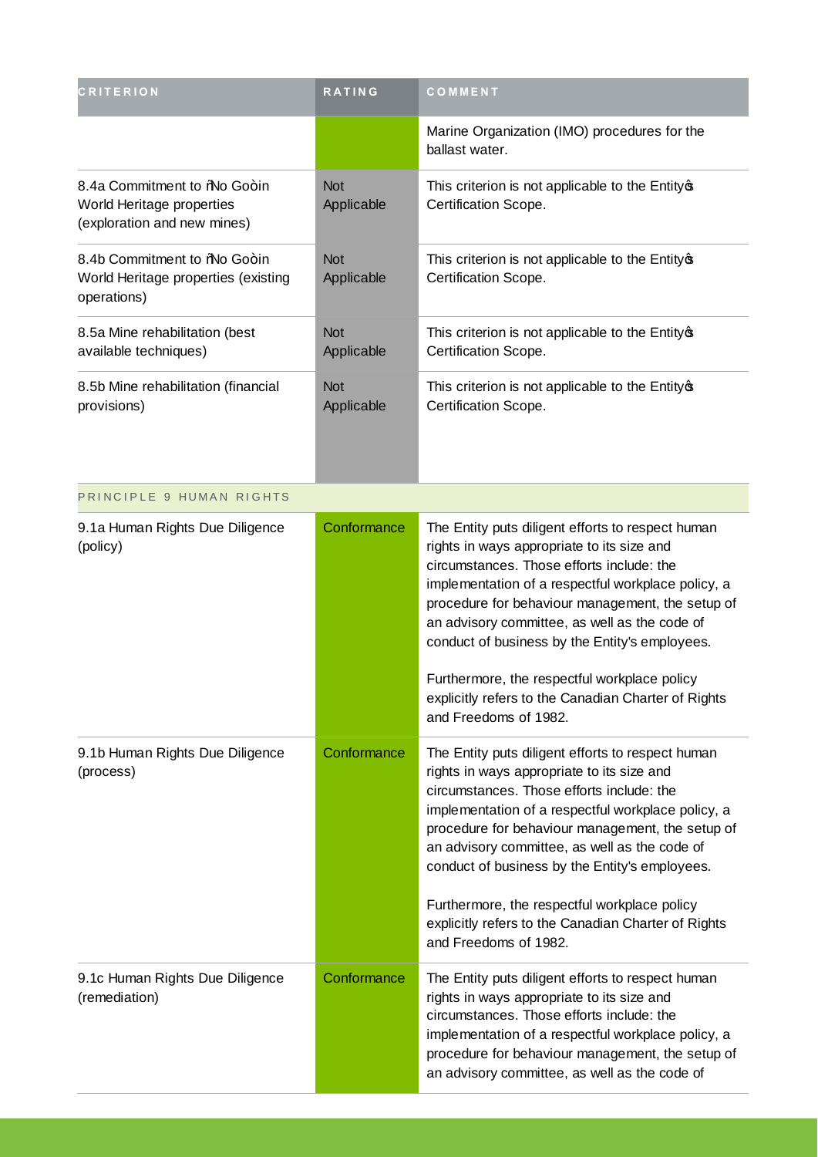| <b>CRITERION</b>                                                                         | <b>RATING</b>            | COMMENT                                                                                                                                                                                                                                                                                                                                                                                                                                                                                   |
|------------------------------------------------------------------------------------------|--------------------------|-------------------------------------------------------------------------------------------------------------------------------------------------------------------------------------------------------------------------------------------------------------------------------------------------------------------------------------------------------------------------------------------------------------------------------------------------------------------------------------------|
|                                                                                          |                          | Marine Organization (IMO) procedures for the<br>ballast water.                                                                                                                                                                                                                                                                                                                                                                                                                            |
| 8.4a Commitment to %No Go+in<br>World Heritage properties<br>(exploration and new mines) | <b>Not</b><br>Applicable | This criterion is not applicable to the Entity of<br>Certification Scope.                                                                                                                                                                                                                                                                                                                                                                                                                 |
| 8.4b Commitment to %No Go+in<br>World Heritage properties (existing<br>operations)       | <b>Not</b><br>Applicable | This criterion is not applicable to the Entity of<br>Certification Scope.                                                                                                                                                                                                                                                                                                                                                                                                                 |
| 8.5a Mine rehabilitation (best<br>available techniques)                                  | <b>Not</b><br>Applicable | This criterion is not applicable to the Entity of<br>Certification Scope.                                                                                                                                                                                                                                                                                                                                                                                                                 |
| 8.5b Mine rehabilitation (financial<br>provisions)                                       | <b>Not</b><br>Applicable | This criterion is not applicable to the Entity®<br>Certification Scope.                                                                                                                                                                                                                                                                                                                                                                                                                   |
| PRINCIPLE 9 HUMAN RIGHTS                                                                 |                          |                                                                                                                                                                                                                                                                                                                                                                                                                                                                                           |
| 9.1a Human Rights Due Diligence<br>(policy)                                              | Conformance              | The Entity puts diligent efforts to respect human<br>rights in ways appropriate to its size and<br>circumstances. Those efforts include: the<br>implementation of a respectful workplace policy, a<br>procedure for behaviour management, the setup of<br>an advisory committee, as well as the code of<br>conduct of business by the Entity's employees.<br>Furthermore, the respectful workplace policy<br>explicitly refers to the Canadian Charter of Rights<br>and Freedoms of 1982. |
| 9.1b Human Rights Due Diligence<br>(process)                                             | Conformance              | The Entity puts diligent efforts to respect human<br>rights in ways appropriate to its size and<br>circumstances. Those efforts include: the<br>implementation of a respectful workplace policy, a<br>procedure for behaviour management, the setup of<br>an advisory committee, as well as the code of<br>conduct of business by the Entity's employees.<br>Furthermore, the respectful workplace policy<br>explicitly refers to the Canadian Charter of Rights<br>and Freedoms of 1982. |
| 9.1c Human Rights Due Diligence<br>(remediation)                                         | Conformance              | The Entity puts diligent efforts to respect human<br>rights in ways appropriate to its size and<br>circumstances. Those efforts include: the<br>implementation of a respectful workplace policy, a<br>procedure for behaviour management, the setup of<br>an advisory committee, as well as the code of                                                                                                                                                                                   |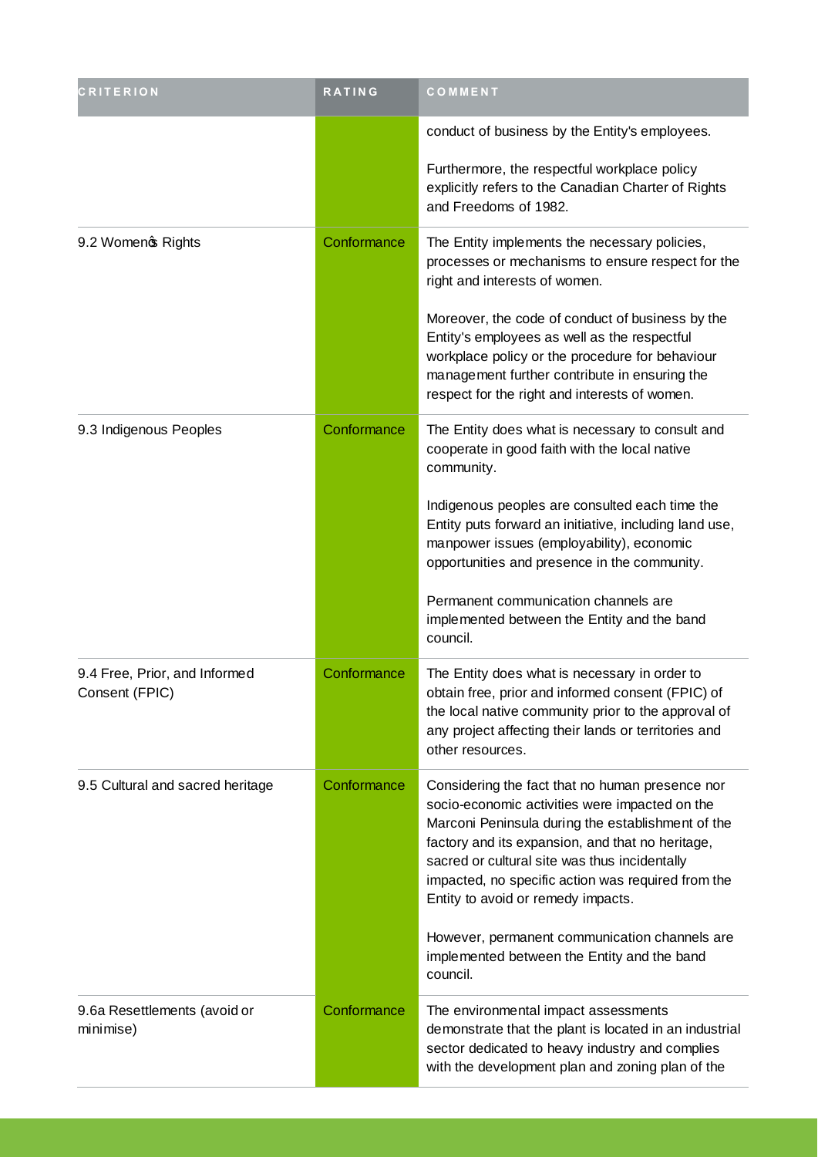| <b>CRITERION</b>                                | <b>RATING</b> | COMMENT                                                                                                                                                                                                                                                                                                                                                 |
|-------------------------------------------------|---------------|---------------------------------------------------------------------------------------------------------------------------------------------------------------------------------------------------------------------------------------------------------------------------------------------------------------------------------------------------------|
|                                                 |               | conduct of business by the Entity's employees.                                                                                                                                                                                                                                                                                                          |
|                                                 |               | Furthermore, the respectful workplace policy<br>explicitly refers to the Canadian Charter of Rights<br>and Freedoms of 1982.                                                                                                                                                                                                                            |
| 9.2 Womeno Rights                               | Conformance   | The Entity implements the necessary policies,<br>processes or mechanisms to ensure respect for the<br>right and interests of women.                                                                                                                                                                                                                     |
|                                                 |               | Moreover, the code of conduct of business by the<br>Entity's employees as well as the respectful<br>workplace policy or the procedure for behaviour<br>management further contribute in ensuring the<br>respect for the right and interests of women.                                                                                                   |
| 9.3 Indigenous Peoples                          | Conformance   | The Entity does what is necessary to consult and<br>cooperate in good faith with the local native<br>community.                                                                                                                                                                                                                                         |
|                                                 |               | Indigenous peoples are consulted each time the<br>Entity puts forward an initiative, including land use,<br>manpower issues (employability), economic<br>opportunities and presence in the community.                                                                                                                                                   |
|                                                 |               | Permanent communication channels are<br>implemented between the Entity and the band<br>council.                                                                                                                                                                                                                                                         |
| 9.4 Free, Prior, and Informed<br>Consent (FPIC) | Conformance   | The Entity does what is necessary in order to<br>obtain free, prior and informed consent (FPIC) of<br>the local native community prior to the approval of<br>any project affecting their lands or territories and<br>other resources.                                                                                                                   |
| 9.5 Cultural and sacred heritage                | Conformance   | Considering the fact that no human presence nor<br>socio-economic activities were impacted on the<br>Marconi Peninsula during the establishment of the<br>factory and its expansion, and that no heritage,<br>sacred or cultural site was thus incidentally<br>impacted, no specific action was required from the<br>Entity to avoid or remedy impacts. |
|                                                 |               | However, permanent communication channels are<br>implemented between the Entity and the band<br>council.                                                                                                                                                                                                                                                |
| 9.6a Resettlements (avoid or<br>minimise)       | Conformance   | The environmental impact assessments<br>demonstrate that the plant is located in an industrial<br>sector dedicated to heavy industry and complies<br>with the development plan and zoning plan of the                                                                                                                                                   |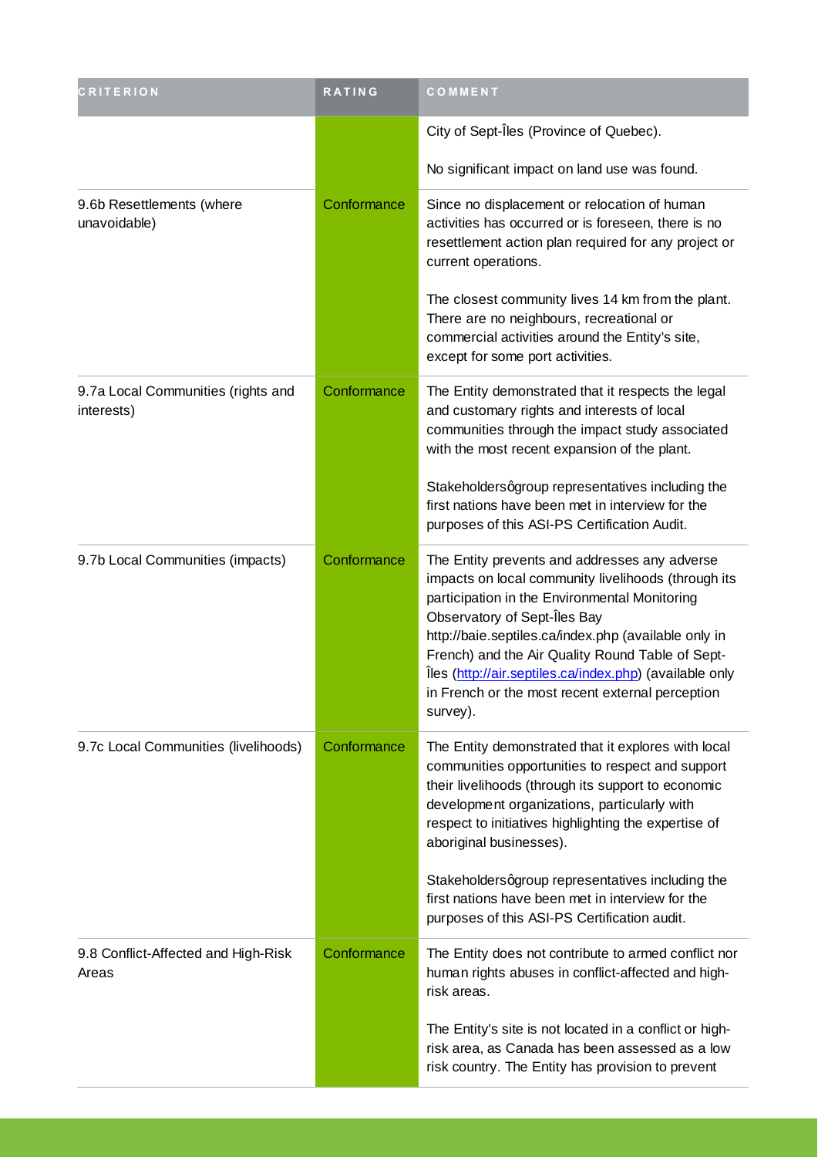| <b>CRITERION</b>                                 | <b>RATING</b> | COMMENT                                                                                                                                                                                                                                                                                                                                                                                                                      |
|--------------------------------------------------|---------------|------------------------------------------------------------------------------------------------------------------------------------------------------------------------------------------------------------------------------------------------------------------------------------------------------------------------------------------------------------------------------------------------------------------------------|
|                                                  |               | City of Sept-Îles (Province of Quebec).                                                                                                                                                                                                                                                                                                                                                                                      |
|                                                  |               | No significant impact on land use was found.                                                                                                                                                                                                                                                                                                                                                                                 |
| 9.6b Resettlements (where<br>unavoidable)        | Conformance   | Since no displacement or relocation of human<br>activities has occurred or is foreseen, there is no<br>resettlement action plan required for any project or<br>current operations.                                                                                                                                                                                                                                           |
|                                                  |               | The closest community lives 14 km from the plant.<br>There are no neighbours, recreational or<br>commercial activities around the Entity's site,<br>except for some port activities.                                                                                                                                                                                                                                         |
| 9.7a Local Communities (rights and<br>interests) | Conformance   | The Entity demonstrated that it respects the legal<br>and customary rights and interests of local<br>communities through the impact study associated<br>with the most recent expansion of the plant.                                                                                                                                                                                                                         |
|                                                  |               | Stakeholdersqgroup representatives including the<br>first nations have been met in interview for the<br>purposes of this ASI-PS Certification Audit.                                                                                                                                                                                                                                                                         |
| 9.7b Local Communities (impacts)                 | Conformance   | The Entity prevents and addresses any adverse<br>impacts on local community livelihoods (through its<br>participation in the Environmental Monitoring<br>Observatory of Sept-Îles Bay<br>http://baie.septiles.ca/index.php (available only in<br>French) and the Air Quality Round Table of Sept-<br>Îles (http://air.septiles.ca/index.php) (available only<br>in French or the most recent external perception<br>survey). |
| 9.7c Local Communities (livelihoods)             | Conformance   | The Entity demonstrated that it explores with local<br>communities opportunities to respect and support<br>their livelihoods (through its support to economic<br>development organizations, particularly with<br>respect to initiatives highlighting the expertise of<br>aboriginal businesses).                                                                                                                             |
|                                                  |               | Stakeholdersqgroup representatives including the<br>first nations have been met in interview for the<br>purposes of this ASI-PS Certification audit.                                                                                                                                                                                                                                                                         |
| 9.8 Conflict-Affected and High-Risk<br>Areas     | Conformance   | The Entity does not contribute to armed conflict nor<br>human rights abuses in conflict-affected and high-<br>risk areas.                                                                                                                                                                                                                                                                                                    |
|                                                  |               | The Entity's site is not located in a conflict or high-<br>risk area, as Canada has been assessed as a low<br>risk country. The Entity has provision to prevent                                                                                                                                                                                                                                                              |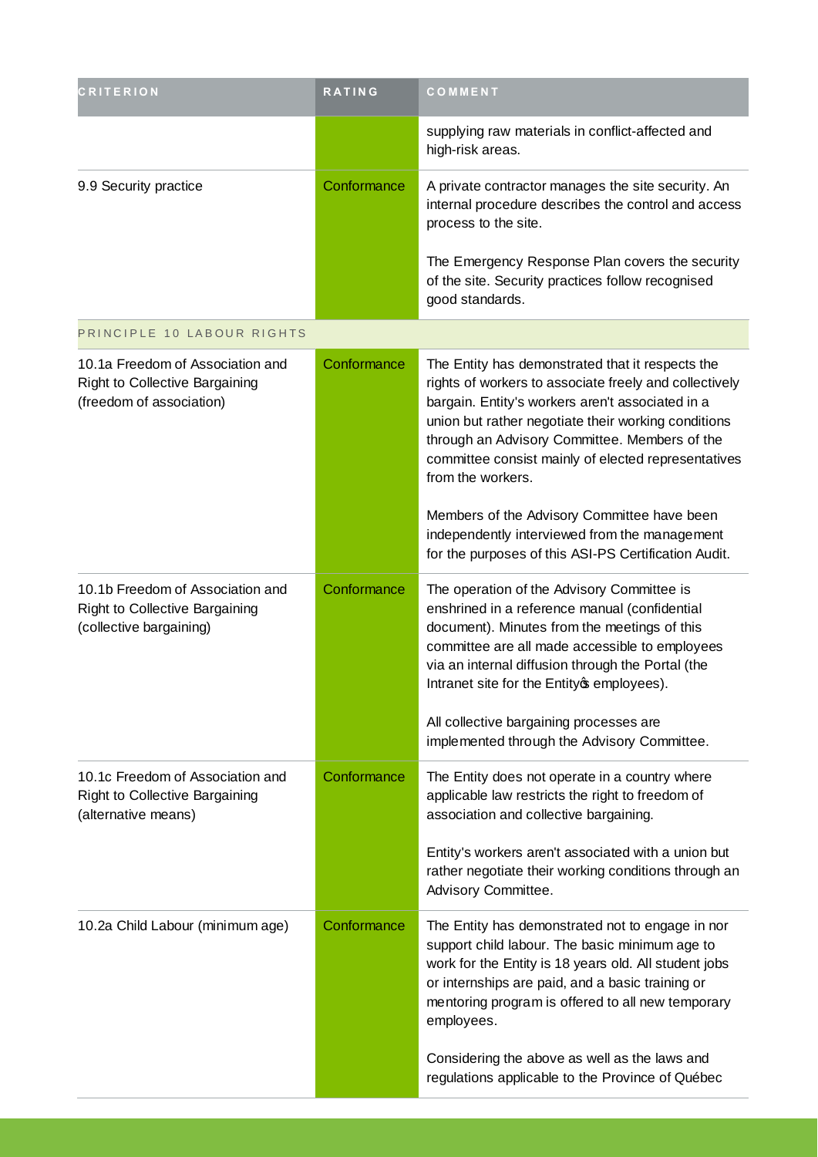| <b>CRITERION</b>                                                                               | <b>RATING</b> | COMMENT                                                                                                                                                                                                                                                                                                                                            |
|------------------------------------------------------------------------------------------------|---------------|----------------------------------------------------------------------------------------------------------------------------------------------------------------------------------------------------------------------------------------------------------------------------------------------------------------------------------------------------|
|                                                                                                |               | supplying raw materials in conflict-affected and<br>high-risk areas.                                                                                                                                                                                                                                                                               |
| 9.9 Security practice                                                                          | Conformance   | A private contractor manages the site security. An<br>internal procedure describes the control and access<br>process to the site.                                                                                                                                                                                                                  |
|                                                                                                |               | The Emergency Response Plan covers the security<br>of the site. Security practices follow recognised<br>good standards.                                                                                                                                                                                                                            |
| PRINCIPLE 10 LABOUR RIGHTS                                                                     |               |                                                                                                                                                                                                                                                                                                                                                    |
| 10.1a Freedom of Association and<br>Right to Collective Bargaining<br>(freedom of association) | Conformance   | The Entity has demonstrated that it respects the<br>rights of workers to associate freely and collectively<br>bargain. Entity's workers aren't associated in a<br>union but rather negotiate their working conditions<br>through an Advisory Committee. Members of the<br>committee consist mainly of elected representatives<br>from the workers. |
|                                                                                                |               | Members of the Advisory Committee have been<br>independently interviewed from the management<br>for the purposes of this ASI-PS Certification Audit.                                                                                                                                                                                               |
| 10.1b Freedom of Association and<br>Right to Collective Bargaining<br>(collective bargaining)  | Conformance   | The operation of the Advisory Committee is<br>enshrined in a reference manual (confidential<br>document). Minutes from the meetings of this<br>committee are all made accessible to employees<br>via an internal diffusion through the Portal (the<br>Intranet site for the Entity of employees).                                                  |
|                                                                                                |               | All collective bargaining processes are<br>implemented through the Advisory Committee.                                                                                                                                                                                                                                                             |
| 10.1c Freedom of Association and<br>Right to Collective Bargaining<br>(alternative means)      | Conformance   | The Entity does not operate in a country where<br>applicable law restricts the right to freedom of<br>association and collective bargaining.                                                                                                                                                                                                       |
|                                                                                                |               | Entity's workers aren't associated with a union but<br>rather negotiate their working conditions through an<br>Advisory Committee.                                                                                                                                                                                                                 |
| 10.2a Child Labour (minimum age)                                                               | Conformance   | The Entity has demonstrated not to engage in nor<br>support child labour. The basic minimum age to<br>work for the Entity is 18 years old. All student jobs<br>or internships are paid, and a basic training or<br>mentoring program is offered to all new temporary<br>employees.                                                                 |
|                                                                                                |               | Considering the above as well as the laws and<br>regulations applicable to the Province of Québec                                                                                                                                                                                                                                                  |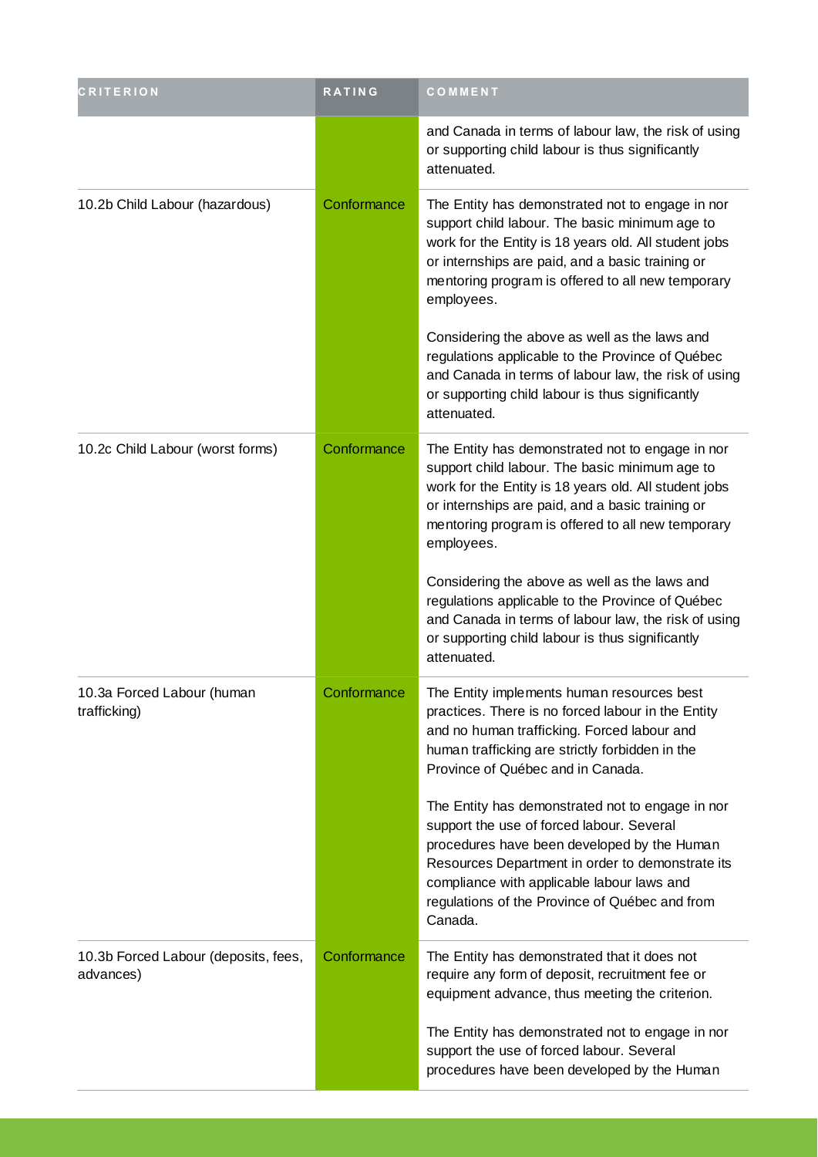| <b>CRITERION</b>                                  | RATING      | COMMENT                                                                                                                                                                                                                                                                                                     |
|---------------------------------------------------|-------------|-------------------------------------------------------------------------------------------------------------------------------------------------------------------------------------------------------------------------------------------------------------------------------------------------------------|
|                                                   |             | and Canada in terms of labour law, the risk of using<br>or supporting child labour is thus significantly<br>attenuated.                                                                                                                                                                                     |
| 10.2b Child Labour (hazardous)                    | Conformance | The Entity has demonstrated not to engage in nor<br>support child labour. The basic minimum age to<br>work for the Entity is 18 years old. All student jobs<br>or internships are paid, and a basic training or<br>mentoring program is offered to all new temporary<br>employees.                          |
|                                                   |             | Considering the above as well as the laws and<br>regulations applicable to the Province of Québec<br>and Canada in terms of labour law, the risk of using<br>or supporting child labour is thus significantly<br>attenuated.                                                                                |
| 10.2c Child Labour (worst forms)                  | Conformance | The Entity has demonstrated not to engage in nor<br>support child labour. The basic minimum age to<br>work for the Entity is 18 years old. All student jobs<br>or internships are paid, and a basic training or<br>mentoring program is offered to all new temporary<br>employees.                          |
|                                                   |             | Considering the above as well as the laws and<br>regulations applicable to the Province of Québec<br>and Canada in terms of labour law, the risk of using<br>or supporting child labour is thus significantly<br>attenuated.                                                                                |
| 10.3a Forced Labour (human<br>trafficking)        | Conformance | The Entity implements human resources best<br>practices. There is no forced labour in the Entity<br>and no human trafficking. Forced labour and<br>human trafficking are strictly forbidden in the<br>Province of Québec and in Canada.                                                                     |
|                                                   |             | The Entity has demonstrated not to engage in nor<br>support the use of forced labour. Several<br>procedures have been developed by the Human<br>Resources Department in order to demonstrate its<br>compliance with applicable labour laws and<br>regulations of the Province of Québec and from<br>Canada. |
| 10.3b Forced Labour (deposits, fees,<br>advances) | Conformance | The Entity has demonstrated that it does not<br>require any form of deposit, recruitment fee or<br>equipment advance, thus meeting the criterion.                                                                                                                                                           |
|                                                   |             | The Entity has demonstrated not to engage in nor<br>support the use of forced labour. Several<br>procedures have been developed by the Human                                                                                                                                                                |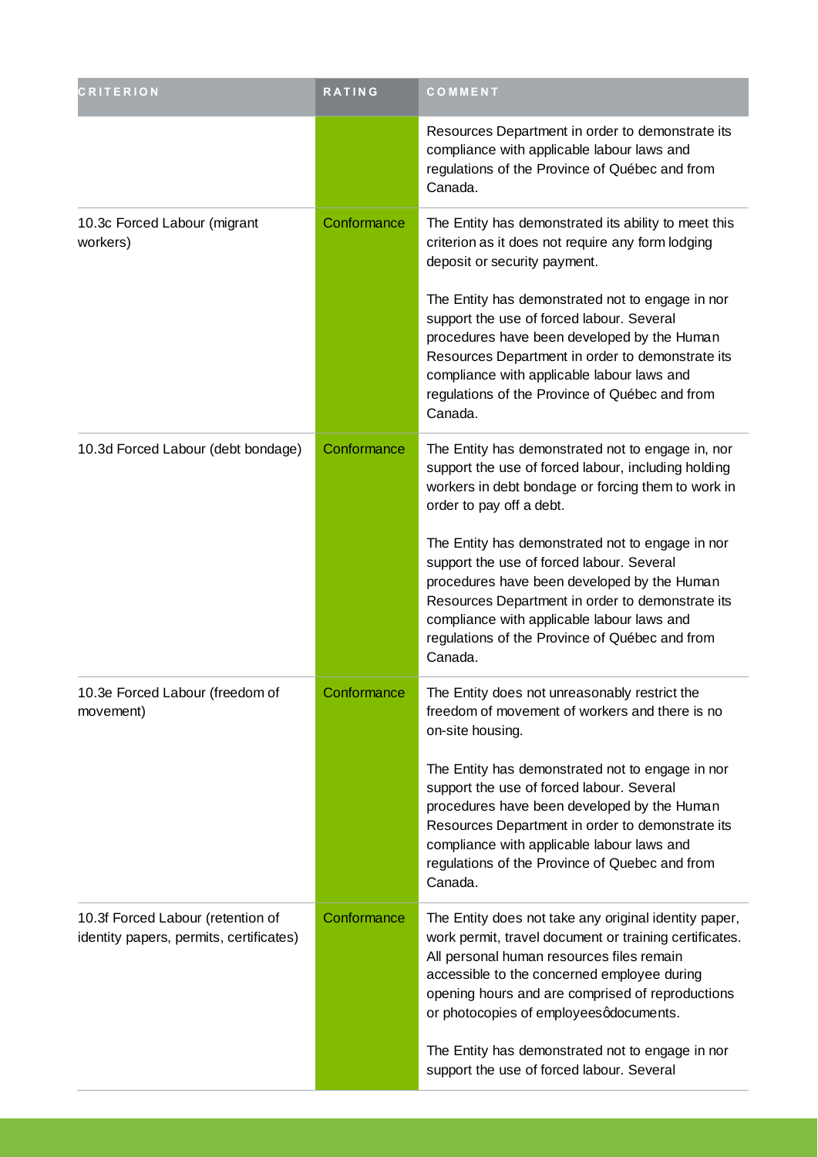| <b>CRITERION</b>                                                             | <b>RATING</b> | COMMENT                                                                                                                                                                                                                                                                                                     |
|------------------------------------------------------------------------------|---------------|-------------------------------------------------------------------------------------------------------------------------------------------------------------------------------------------------------------------------------------------------------------------------------------------------------------|
|                                                                              |               | Resources Department in order to demonstrate its<br>compliance with applicable labour laws and<br>regulations of the Province of Québec and from<br>Canada.                                                                                                                                                 |
| 10.3c Forced Labour (migrant<br>workers)                                     | Conformance   | The Entity has demonstrated its ability to meet this<br>criterion as it does not require any form lodging<br>deposit or security payment.                                                                                                                                                                   |
|                                                                              |               | The Entity has demonstrated not to engage in nor<br>support the use of forced labour. Several<br>procedures have been developed by the Human<br>Resources Department in order to demonstrate its<br>compliance with applicable labour laws and<br>regulations of the Province of Québec and from<br>Canada. |
| 10.3d Forced Labour (debt bondage)                                           | Conformance   | The Entity has demonstrated not to engage in, nor<br>support the use of forced labour, including holding<br>workers in debt bondage or forcing them to work in<br>order to pay off a debt.                                                                                                                  |
|                                                                              |               | The Entity has demonstrated not to engage in nor<br>support the use of forced labour. Several<br>procedures have been developed by the Human<br>Resources Department in order to demonstrate its<br>compliance with applicable labour laws and<br>regulations of the Province of Québec and from<br>Canada. |
| 10.3e Forced Labour (freedom of<br>movement)                                 | Conformance   | The Entity does not unreasonably restrict the<br>freedom of movement of workers and there is no<br>on-site housing.                                                                                                                                                                                         |
|                                                                              |               | The Entity has demonstrated not to engage in nor<br>support the use of forced labour. Several<br>procedures have been developed by the Human<br>Resources Department in order to demonstrate its<br>compliance with applicable labour laws and<br>regulations of the Province of Quebec and from<br>Canada. |
| 10.3f Forced Labour (retention of<br>identity papers, permits, certificates) | Conformance   | The Entity does not take any original identity paper,<br>work permit, travel document or training certificates.<br>All personal human resources files remain<br>accessible to the concerned employee during<br>opening hours and are comprised of reproductions<br>or photocopies of employeesqdocuments.   |
|                                                                              |               | The Entity has demonstrated not to engage in nor<br>support the use of forced labour. Several                                                                                                                                                                                                               |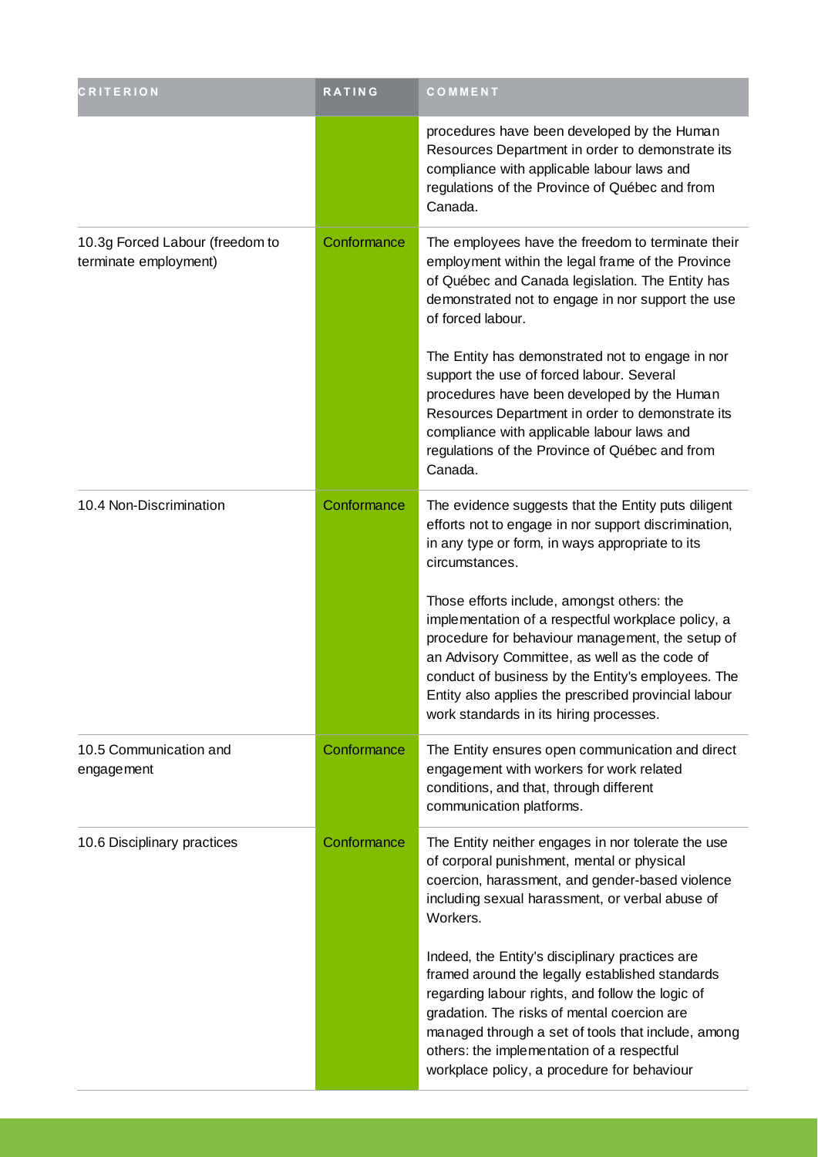| <b>CRITERION</b>                                         | <b>RATING</b> | COMMENT                                                                                                                                                                                                                                                                                                                                                        |
|----------------------------------------------------------|---------------|----------------------------------------------------------------------------------------------------------------------------------------------------------------------------------------------------------------------------------------------------------------------------------------------------------------------------------------------------------------|
|                                                          |               | procedures have been developed by the Human<br>Resources Department in order to demonstrate its<br>compliance with applicable labour laws and<br>regulations of the Province of Québec and from<br>Canada.                                                                                                                                                     |
| 10.3g Forced Labour (freedom to<br>terminate employment) | Conformance   | The employees have the freedom to terminate their<br>employment within the legal frame of the Province<br>of Québec and Canada legislation. The Entity has<br>demonstrated not to engage in nor support the use<br>of forced labour.                                                                                                                           |
|                                                          |               | The Entity has demonstrated not to engage in nor<br>support the use of forced labour. Several<br>procedures have been developed by the Human<br>Resources Department in order to demonstrate its<br>compliance with applicable labour laws and<br>regulations of the Province of Québec and from<br>Canada.                                                    |
| 10.4 Non-Discrimination                                  | Conformance   | The evidence suggests that the Entity puts diligent<br>efforts not to engage in nor support discrimination,<br>in any type or form, in ways appropriate to its<br>circumstances.                                                                                                                                                                               |
|                                                          |               | Those efforts include, amongst others: the<br>implementation of a respectful workplace policy, a<br>procedure for behaviour management, the setup of<br>an Advisory Committee, as well as the code of<br>conduct of business by the Entity's employees. The<br>Entity also applies the prescribed provincial labour<br>work standards in its hiring processes. |
| 10.5 Communication and<br>engagement                     | Conformance   | The Entity ensures open communication and direct<br>engagement with workers for work related<br>conditions, and that, through different<br>communication platforms.                                                                                                                                                                                            |
| 10.6 Disciplinary practices                              | Conformance   | The Entity neither engages in nor tolerate the use<br>of corporal punishment, mental or physical<br>coercion, harassment, and gender-based violence<br>including sexual harassment, or verbal abuse of<br>Workers.                                                                                                                                             |
|                                                          |               | Indeed, the Entity's disciplinary practices are<br>framed around the legally established standards<br>regarding labour rights, and follow the logic of<br>gradation. The risks of mental coercion are<br>managed through a set of tools that include, among<br>others: the implementation of a respectful<br>workplace policy, a procedure for behaviour       |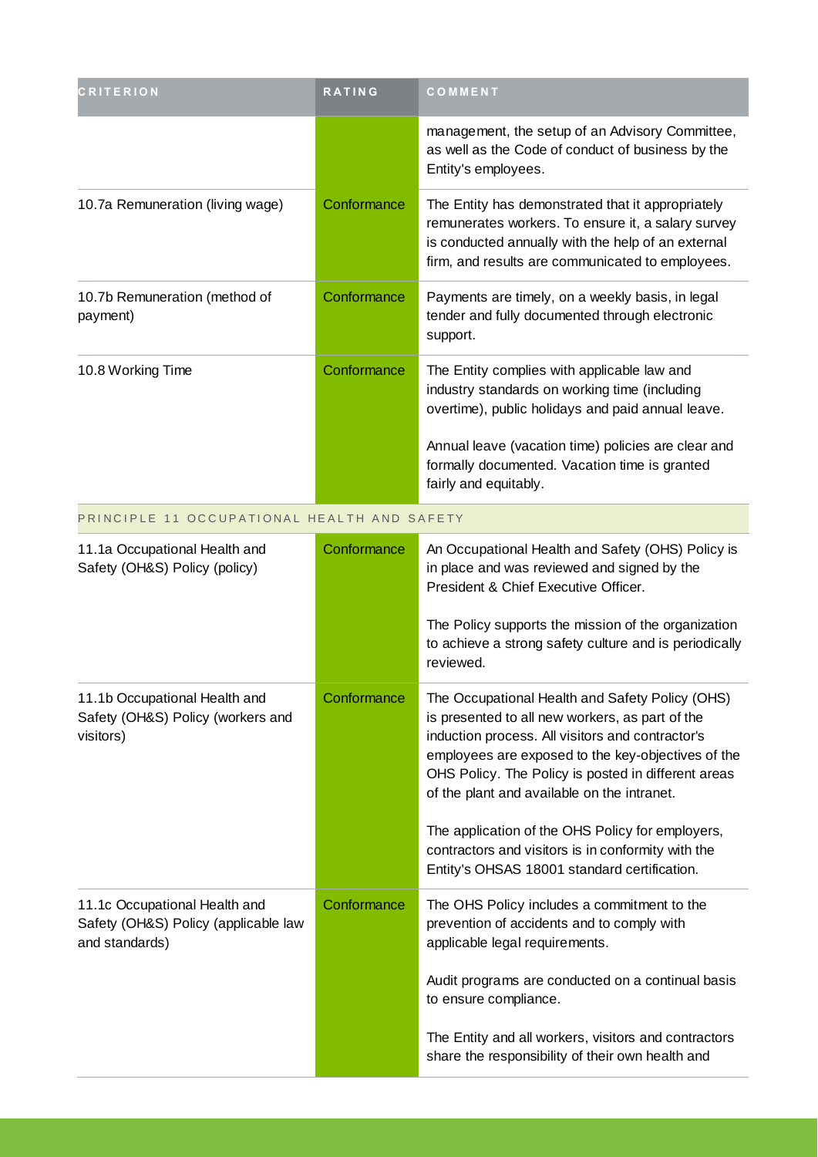| <b>CRITERION</b>                                                                        | <b>RATING</b> | COMMENT                                                                                                                                                                                                                                                                                                            |
|-----------------------------------------------------------------------------------------|---------------|--------------------------------------------------------------------------------------------------------------------------------------------------------------------------------------------------------------------------------------------------------------------------------------------------------------------|
|                                                                                         |               | management, the setup of an Advisory Committee,<br>as well as the Code of conduct of business by the<br>Entity's employees.                                                                                                                                                                                        |
| 10.7a Remuneration (living wage)                                                        | Conformance   | The Entity has demonstrated that it appropriately<br>remunerates workers. To ensure it, a salary survey<br>is conducted annually with the help of an external<br>firm, and results are communicated to employees.                                                                                                  |
| 10.7b Remuneration (method of<br>payment)                                               | Conformance   | Payments are timely, on a weekly basis, in legal<br>tender and fully documented through electronic<br>support.                                                                                                                                                                                                     |
| 10.8 Working Time                                                                       | Conformance   | The Entity complies with applicable law and<br>industry standards on working time (including<br>overtime), public holidays and paid annual leave.                                                                                                                                                                  |
|                                                                                         |               | Annual leave (vacation time) policies are clear and<br>formally documented. Vacation time is granted<br>fairly and equitably.                                                                                                                                                                                      |
| PRINCIPLE 11 OCCUPATIONAL HEALTH AND SAFETY                                             |               |                                                                                                                                                                                                                                                                                                                    |
| 11.1a Occupational Health and<br>Safety (OH&S) Policy (policy)                          | Conformance   | An Occupational Health and Safety (OHS) Policy is<br>in place and was reviewed and signed by the<br>President & Chief Executive Officer.                                                                                                                                                                           |
|                                                                                         |               | The Policy supports the mission of the organization<br>to achieve a strong safety culture and is periodically<br>reviewed.                                                                                                                                                                                         |
| 11.1b Occupational Health and<br>Safety (OH&S) Policy (workers and<br>visitors)         | Conformance   | The Occupational Health and Safety Policy (OHS)<br>is presented to all new workers, as part of the<br>induction process. All visitors and contractor's<br>employees are exposed to the key-objectives of the<br>OHS Policy. The Policy is posted in different areas<br>of the plant and available on the intranet. |
|                                                                                         |               | The application of the OHS Policy for employers,<br>contractors and visitors is in conformity with the<br>Entity's OHSAS 18001 standard certification.                                                                                                                                                             |
| 11.1c Occupational Health and<br>Safety (OH&S) Policy (applicable law<br>and standards) | Conformance   | The OHS Policy includes a commitment to the<br>prevention of accidents and to comply with<br>applicable legal requirements.                                                                                                                                                                                        |
|                                                                                         |               | Audit programs are conducted on a continual basis<br>to ensure compliance.                                                                                                                                                                                                                                         |
|                                                                                         |               | The Entity and all workers, visitors and contractors<br>share the responsibility of their own health and                                                                                                                                                                                                           |